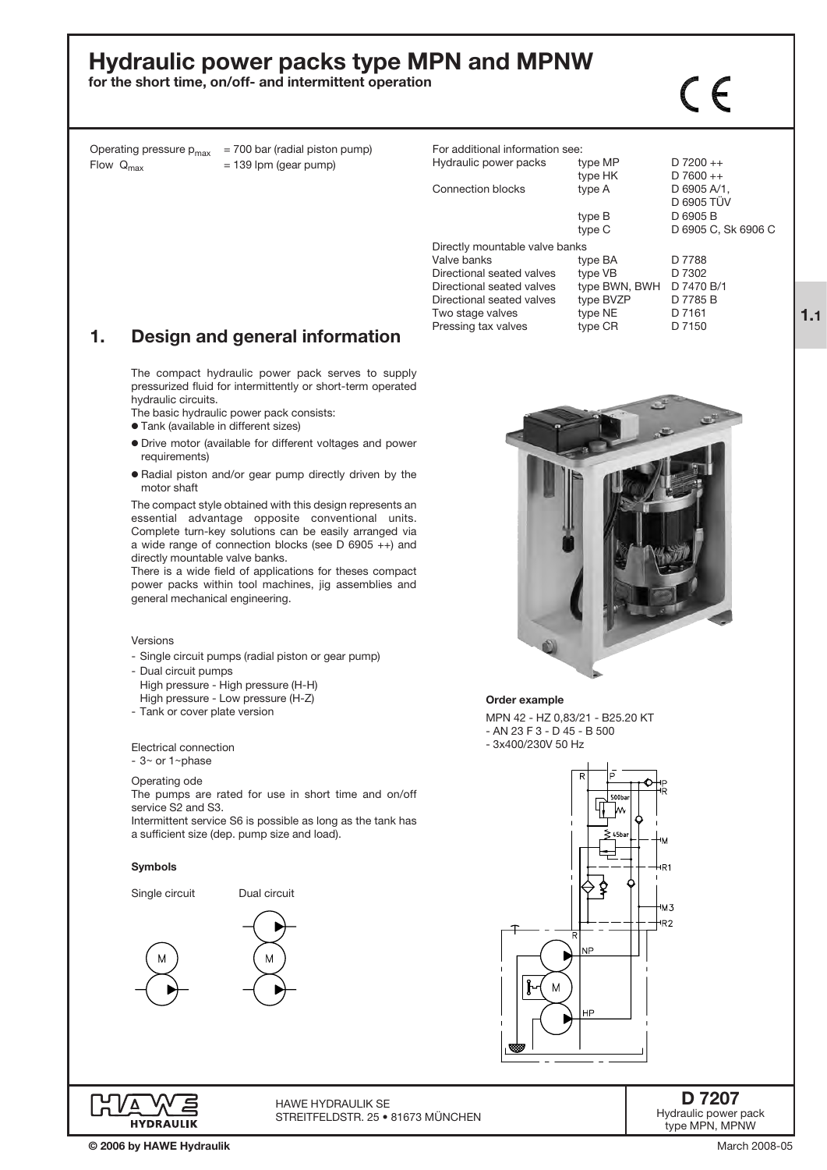# Hydraulic power packs type MPN and MPNW

for the short time, on/off- and intermittent operation

Operating pressure  $p_{max}$  = 700 bar (radial piston pump)<br>Flow  $Q_{max}$  = 139 lpm (gear pump)  $= 139$  lpm (gear pump)

| For additional information see: |               |                     |
|---------------------------------|---------------|---------------------|
| Hydraulic power packs           | type MP       | $D$ 7200 ++         |
|                                 | type HK       | $D7600++$           |
| Connection blocks               | type A        | D 6905 A/1.         |
|                                 |               | D 6905 TÜV          |
|                                 | type B        | D 6905 B            |
|                                 | type C        | D 6905 C, Sk 6906 C |
| Directly mountable valve banks  |               |                     |
| Valve banks                     | type BA       | D 7788              |
| Directional seated valves       | type VB       | D 7302              |
| Directional seated valves       | type BWN, BWH | D 7470 B/1          |
| Directional seated valves       | type BVZP     | D 7785 B            |
| Two stage valves                | type NE       | D 7161              |
| Pressing tax valves             | type CR       | D 7150              |

 $\mathsf{C}\in$ 

# 1. Design and general information

The compact hydraulic power pack serves to supply pressurized fluid for intermittently or short-term operated hydraulic circuits.

- The basic hydraulic power pack consists:
- o Tank (available in different sizes)
- o Drive motor (available for different voltages and power requirements)
- o Radial piston and/or gear pump directly driven by the motor shaft

The compact style obtained with this design represents an essential advantage opposite conventional units. Complete turn-key solutions can be easily arranged via a wide range of connection blocks (see D 6905 ++) and directly mountable valve banks.

There is a wide field of applications for theses compact power packs within tool machines, jig assemblies and general mechanical engineering.

#### Versions

- Single circuit pumps (radial piston or gear pump)
- Dual circuit pumps
- High pressure High pressure (H-H) High pressure - Low pressure (H-Z)
- Tank or cover plate version
- 
- Electrical connection  $-3$ ~ or 1~phase

# Operating ode

The pumps are rated for use in short time and on/off service S2 and S3.

Intermittent service S6 is possible as long as the tank has a sufficient size (dep. pump size and load).

### Symbols









#### Order example

MPN 42 - HZ 0,83/21 - B25.20 KT - AN 23 F 3 - D 45 - B 500 - 3x400/230V 50 Hz





© 2006 by HAWE Hydraulik

HAWE Hydraulik SE STREITFELDSTR. 25 • 81673 MÜNCHEN

### D 7207 Hydraulic power pack type MPN, MPNW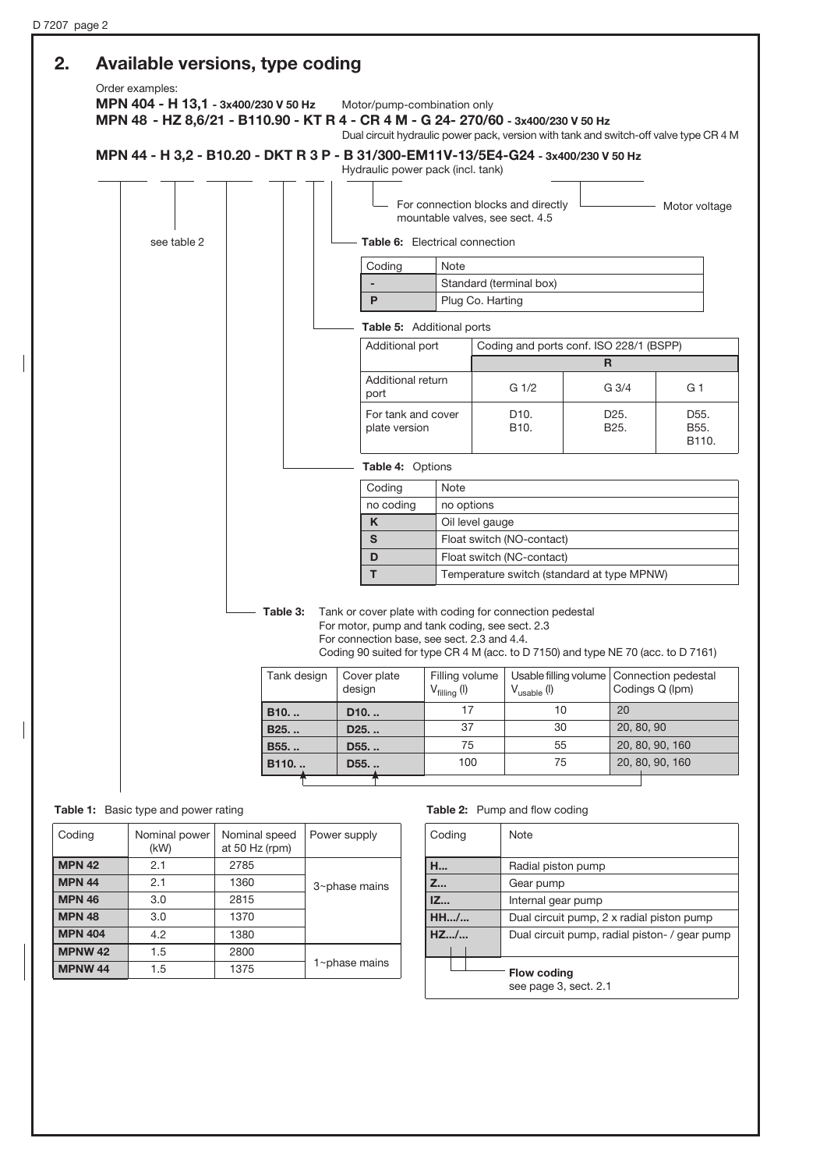# 2. Available versions, type coding

Order examples:

MPN 404 - H 13,1 - 3x400/230 V 50 Hz Motor/pump-combination only MPN 48 - HZ 8,6/21 - B110.90 - KT R 4 - CR 4 M - G 24- 270/60 - 3x400/230 V 50 Hz Dual circuit hydraulic power pack, version with tank and switch-off valve type CR 4 M

# MPN 44 - H 3,2 - B10.20 - DKT R 3 P - B 31/300-EM11V-13/5E4-G24 - 3x400/230 V 50 Hz

|             |                                                                            | Hydraulic power pack (incl. tank)                                                                                                                                                                                                             |                                                                       |                                            |                                        |                                        |  |  |  |
|-------------|----------------------------------------------------------------------------|-----------------------------------------------------------------------------------------------------------------------------------------------------------------------------------------------------------------------------------------------|-----------------------------------------------------------------------|--------------------------------------------|----------------------------------------|----------------------------------------|--|--|--|
|             |                                                                            |                                                                                                                                                                                                                                               | For connection blocks and directly<br>mountable valves, see sect. 4.5 |                                            |                                        | Motor voltage                          |  |  |  |
| see table 2 |                                                                            |                                                                                                                                                                                                                                               | <b>Table 6:</b> Electrical connection                                 |                                            |                                        |                                        |  |  |  |
|             |                                                                            | Coding                                                                                                                                                                                                                                        | Note                                                                  |                                            |                                        |                                        |  |  |  |
|             |                                                                            |                                                                                                                                                                                                                                               | Standard (terminal box)                                               |                                            |                                        |                                        |  |  |  |
|             |                                                                            | P                                                                                                                                                                                                                                             | Plug Co. Harting                                                      |                                            |                                        |                                        |  |  |  |
|             |                                                                            | Table 5: Additional ports                                                                                                                                                                                                                     |                                                                       |                                            |                                        |                                        |  |  |  |
|             |                                                                            | Additional port                                                                                                                                                                                                                               |                                                                       | Coding and ports conf. ISO 228/1 (BSPP)    |                                        |                                        |  |  |  |
|             |                                                                            |                                                                                                                                                                                                                                               |                                                                       |                                            | $\mathsf{R}$                           |                                        |  |  |  |
|             |                                                                            | Additional return<br>port                                                                                                                                                                                                                     |                                                                       | G <sub>1/2</sub>                           | G <sub>3/4</sub>                       | G 1                                    |  |  |  |
|             |                                                                            | For tank and cover<br>plate version                                                                                                                                                                                                           |                                                                       | D <sub>10</sub> .<br>B <sub>10</sub> .     | D <sub>25</sub> .<br>B <sub>25</sub> . | D <sub>55</sub> .<br>B55.<br>B110.     |  |  |  |
|             |                                                                            | Table 4: Options                                                                                                                                                                                                                              |                                                                       |                                            |                                        |                                        |  |  |  |
|             |                                                                            | Coding                                                                                                                                                                                                                                        | <b>Note</b>                                                           |                                            |                                        |                                        |  |  |  |
|             |                                                                            | no coding                                                                                                                                                                                                                                     | no options                                                            |                                            |                                        |                                        |  |  |  |
|             |                                                                            | K                                                                                                                                                                                                                                             | Oil level gauge                                                       |                                            |                                        |                                        |  |  |  |
|             |                                                                            | S                                                                                                                                                                                                                                             |                                                                       | Float switch (NO-contact)                  |                                        |                                        |  |  |  |
|             |                                                                            | D                                                                                                                                                                                                                                             |                                                                       | Float switch (NC-contact)                  |                                        |                                        |  |  |  |
|             |                                                                            | T.                                                                                                                                                                                                                                            |                                                                       | Temperature switch (standard at type MPNW) |                                        |                                        |  |  |  |
|             | Table 3:                                                                   | Tank or cover plate with coding for connection pedestal<br>For motor, pump and tank coding, see sect. 2.3<br>For connection base, see sect. 2.3 and 4.4.<br>Coding 90 suited for type CR 4 M (acc. to D 7150) and type NE 70 (acc. to D 7161) |                                                                       |                                            |                                        |                                        |  |  |  |
|             | Tank design<br>Cover plate<br>design<br>D <sub>10</sub><br>B <sub>10</sub> |                                                                                                                                                                                                                                               | Filling volume<br>$V_{\text{filling}}$ (I)                            | Usable filling volume<br>$V_{usable}$ (I)  |                                        | Connection pedestal<br>Codings Q (Ipm) |  |  |  |
|             |                                                                            |                                                                                                                                                                                                                                               | 17                                                                    | 10                                         | 20                                     |                                        |  |  |  |
|             | B <sub>25</sub>                                                            | D <sub>25</sub>                                                                                                                                                                                                                               | 37                                                                    | 30                                         |                                        | 20, 80, 90                             |  |  |  |
|             | B55.                                                                       | D <sub>55</sub>                                                                                                                                                                                                                               | 75                                                                    | 55                                         |                                        | 20, 80, 90, 160                        |  |  |  |
|             |                                                                            |                                                                                                                                                                                                                                               |                                                                       | 75                                         |                                        | 20, 80, 90, 160                        |  |  |  |

Table 1: Basic type and power rating

| Coding             | Nominal power<br>(kW) | Nominal speed<br>at 50 Hz (rpm) | Power supply     |
|--------------------|-----------------------|---------------------------------|------------------|
| MPN 42             | 2.1                   | 2785                            |                  |
| <b>MPN 44</b>      | 2.1                   | 1360                            | $3$ ~phase mains |
| <b>MPN 46</b>      | 3.0                   | 2815                            |                  |
| MPN <sub>48</sub>  | 3.0                   | 1370                            |                  |
| <b>MPN 404</b>     | 4.2                   | 1380                            |                  |
| <b>MPNW 42</b>     | 1.5                   | 2800                            |                  |
| MPNW <sub>44</sub> | 1.5                   | 1375                            | 1~phase mains    |

Table 2: Pump and flow coding

| Coding | <b>Note</b>                                   |  |  |  |  |  |  |  |
|--------|-----------------------------------------------|--|--|--|--|--|--|--|
| H      | Radial piston pump                            |  |  |  |  |  |  |  |
| Z      | Gear pump                                     |  |  |  |  |  |  |  |
| Z      | Internal gear pump                            |  |  |  |  |  |  |  |
| HH/    | Dual circuit pump, 2 x radial piston pump     |  |  |  |  |  |  |  |
| HZ/    | Dual circuit pump, radial piston- / gear pump |  |  |  |  |  |  |  |
|        | <b>Flow coding</b><br>see page 3, sect. 2.1   |  |  |  |  |  |  |  |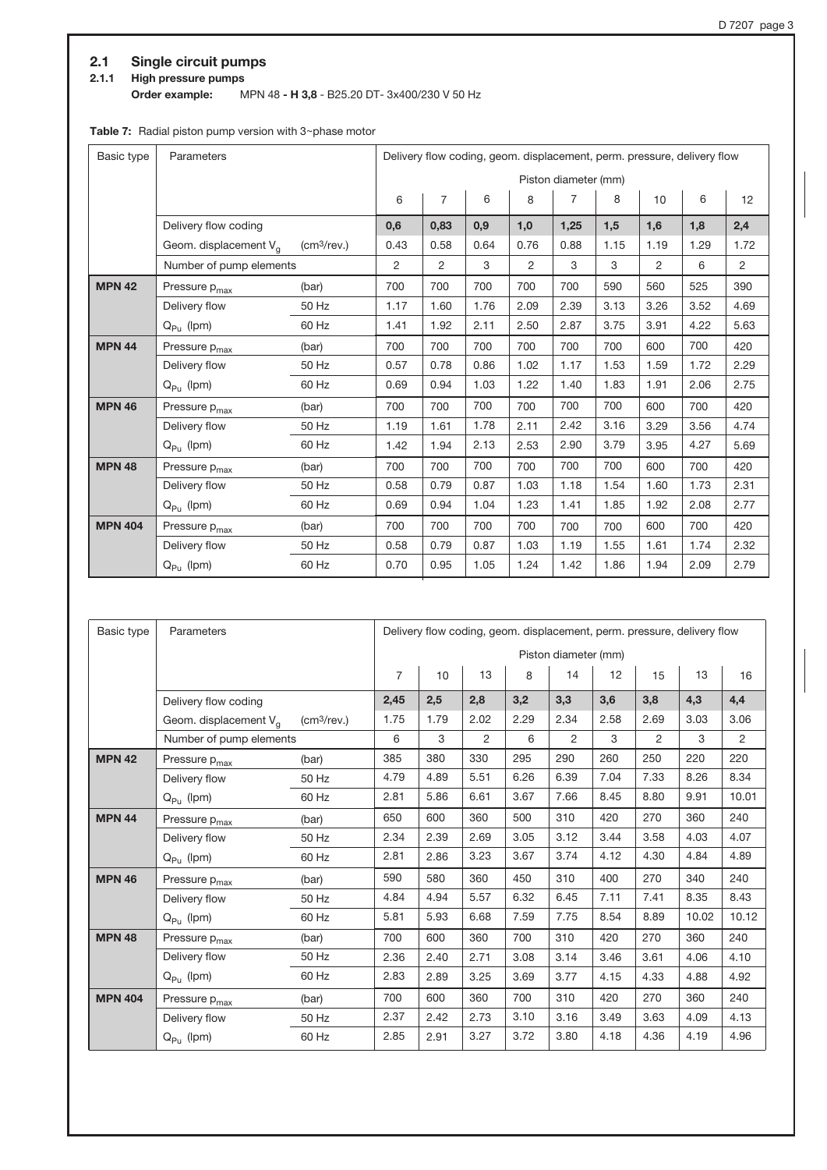# 2.1 Single circuit pumps

# 2.1.1 High pressure pumps

Order example: MPN 48 - H 3,8 - B25.20 DT- 3x400/230 V 50 Hz

# Table 7: Radial piston pump version with  $3$ ~phase motor

| Basic type     | Parameters                        |                         | Delivery flow coding, geom. displacement, perm. pressure, delivery flow |      |      |      |                      |      |      |      |                |
|----------------|-----------------------------------|-------------------------|-------------------------------------------------------------------------|------|------|------|----------------------|------|------|------|----------------|
|                |                                   |                         |                                                                         |      |      |      | Piston diameter (mm) |      |      |      |                |
|                |                                   |                         | 6                                                                       | 7    | 6    | 8    | $\overline{7}$       | 8    | 10   | 6    | 12             |
|                | Delivery flow coding              |                         | 0,6                                                                     | 0,83 | 0,9  | 1,0  | 1,25                 | 1,5  | 1,6  | 1,8  | 2,4            |
|                | Geom. displacement V <sub>g</sub> | (cm <sup>3</sup> /rev.) | 0.43                                                                    | 0.58 | 0.64 | 0.76 | 0.88                 | 1.15 | 1.19 | 1.29 | 1.72           |
|                | Number of pump elements           |                         | 2                                                                       | 2    | 3    | 2    | 3                    | 3    | 2    | 6    | $\overline{2}$ |
| <b>MPN 42</b>  | Pressure p <sub>max</sub>         | (bar)                   | 700                                                                     | 700  | 700  | 700  | 700                  | 590  | 560  | 525  | 390            |
|                | Delivery flow                     | 50 Hz                   | 1.17                                                                    | 1.60 | 1.76 | 2.09 | 2.39                 | 3.13 | 3.26 | 3.52 | 4.69           |
|                | $Q_{Pu}$ (lpm)                    | 60 Hz                   | 1.41                                                                    | 1.92 | 2.11 | 2.50 | 2.87                 | 3.75 | 3.91 | 4.22 | 5.63           |
| <b>MPN 44</b>  | Pressure p <sub>max</sub>         | (bar)                   | 700                                                                     | 700  | 700  | 700  | 700                  | 700  | 600  | 700  | 420            |
|                | Delivery flow                     | 50 Hz                   | 0.57                                                                    | 0.78 | 0.86 | 1.02 | 1.17                 | 1.53 | 1.59 | 1.72 | 2.29           |
|                | $Q_{Pu}$ (lpm)                    | 60 Hz                   | 0.69                                                                    | 0.94 | 1.03 | 1.22 | 1.40                 | 1.83 | 1.91 | 2.06 | 2.75           |
| <b>MPN 46</b>  | Pressure p <sub>max</sub>         | (bar)                   | 700                                                                     | 700  | 700  | 700  | 700                  | 700  | 600  | 700  | 420            |
|                | Delivery flow                     | 50 Hz                   | 1.19                                                                    | 1.61 | 1.78 | 2.11 | 2.42                 | 3.16 | 3.29 | 3.56 | 4.74           |
|                | $Q_{Pu}$ (lpm)                    | 60 Hz                   | 1.42                                                                    | 1.94 | 2.13 | 2.53 | 2.90                 | 3.79 | 3.95 | 4.27 | 5.69           |
| <b>MPN 48</b>  | Pressure p <sub>max</sub>         | (bar)                   | 700                                                                     | 700  | 700  | 700  | 700                  | 700  | 600  | 700  | 420            |
|                | Delivery flow                     | 50 Hz                   | 0.58                                                                    | 0.79 | 0.87 | 1.03 | 1.18                 | 1.54 | 1.60 | 1.73 | 2.31           |
|                | $Q_{Pu}$ (lpm)                    | 60 Hz                   | 0.69                                                                    | 0.94 | 1.04 | 1.23 | 1.41                 | 1.85 | 1.92 | 2.08 | 2.77           |
| <b>MPN 404</b> | Pressure p <sub>max</sub>         | (bar)                   | 700                                                                     | 700  | 700  | 700  | 700                  | 700  | 600  | 700  | 420            |
|                | Delivery flow                     | 50 Hz                   | 0.58                                                                    | 0.79 | 0.87 | 1.03 | 1.19                 | 1.55 | 1.61 | 1.74 | 2.32           |
|                | $Q_{Pu}$ (lpm)                    | 60 Hz                   | 0.70                                                                    | 0.95 | 1.05 | 1.24 | 1.42                 | 1.86 | 1.94 | 2.09 | 2.79           |

| Basic type     | Parameters                |                         |                | Delivery flow coding, geom. displacement, perm. pressure, delivery flow |      |      |                      |      |                |       |                |
|----------------|---------------------------|-------------------------|----------------|-------------------------------------------------------------------------|------|------|----------------------|------|----------------|-------|----------------|
|                |                           |                         |                |                                                                         |      |      | Piston diameter (mm) |      |                |       |                |
|                |                           |                         | $\overline{7}$ | 10                                                                      | 13   | 8    | 14                   | 12   | 15             | 13    | 16             |
|                | Delivery flow coding      |                         | 2,45           | 2,5                                                                     | 2,8  | 3,2  | 3,3                  | 3,6  | 3,8            | 4,3   | 4,4            |
|                | Geom. displacement $V_q$  | (cm <sup>3</sup> /rev.) | 1.75           | 1.79                                                                    | 2.02 | 2.29 | 2.34                 | 2.58 | 2.69           | 3.03  | 3.06           |
|                | Number of pump elements   |                         | 6              | 3                                                                       | 2    | 6    | $\overline{2}$       | 3    | $\mathfrak{p}$ | 3     | $\overline{2}$ |
| <b>MPN 42</b>  | Pressure p <sub>max</sub> | (bar)                   | 385            | 380                                                                     | 330  | 295  | 290                  | 260  | 250            | 220   | 220            |
|                | Delivery flow             | 50 Hz                   | 4.79           | 4.89                                                                    | 5.51 | 6.26 | 6.39                 | 7.04 | 7.33           | 8.26  | 8.34           |
|                | $Q_{Pu}$ (lpm)            | 60 Hz                   | 2.81           | 5.86                                                                    | 6.61 | 3.67 | 7.66                 | 8.45 | 8.80           | 9.91  | 10.01          |
| <b>MPN 44</b>  | Pressure p <sub>max</sub> | (bar)                   | 650            | 600                                                                     | 360  | 500  | 310                  | 420  | 270            | 360   | 240            |
|                | Delivery flow             | 50 Hz                   | 2.34           | 2.39                                                                    | 2.69 | 3.05 | 3.12                 | 3.44 | 3.58           | 4.03  | 4.07           |
|                | $Q_{Pu}$ (lpm)            | 60 Hz                   | 2.81           | 2.86                                                                    | 3.23 | 3.67 | 3.74                 | 4.12 | 4.30           | 4.84  | 4.89           |
| <b>MPN 46</b>  | Pressure p <sub>max</sub> | (bar)                   | 590            | 580                                                                     | 360  | 450  | 310                  | 400  | 270            | 340   | 240            |
|                | Delivery flow             | 50 Hz                   | 4.84           | 4.94                                                                    | 5.57 | 6.32 | 6.45                 | 7.11 | 7.41           | 8.35  | 8.43           |
|                | $Q_{Pu}$ (lpm)            | 60 Hz                   | 5.81           | 5.93                                                                    | 6.68 | 7.59 | 7.75                 | 8.54 | 8.89           | 10.02 | 10.12          |
| <b>MPN 48</b>  | Pressure p <sub>max</sub> | (bar)                   | 700            | 600                                                                     | 360  | 700  | 310                  | 420  | 270            | 360   | 240            |
|                | Delivery flow             | 50 Hz                   | 2.36           | 2.40                                                                    | 2.71 | 3.08 | 3.14                 | 3.46 | 3.61           | 4.06  | 4.10           |
|                | $Q_{Pu}$ (lpm)            | 60 Hz                   | 2.83           | 2.89                                                                    | 3.25 | 3.69 | 3.77                 | 4.15 | 4.33           | 4.88  | 4.92           |
| <b>MPN 404</b> | Pressure p <sub>max</sub> | (bar)                   | 700            | 600                                                                     | 360  | 700  | 310                  | 420  | 270            | 360   | 240            |
|                | Delivery flow             | 50 Hz                   | 2.37           | 2.42                                                                    | 2.73 | 3.10 | 3.16                 | 3.49 | 3.63           | 4.09  | 4.13           |
|                | $Q_{Pu}$ (lpm)            | 60 Hz                   | 2.85           | 2.91                                                                    | 3.27 | 3.72 | 3.80                 | 4.18 | 4.36           | 4.19  | 4.96           |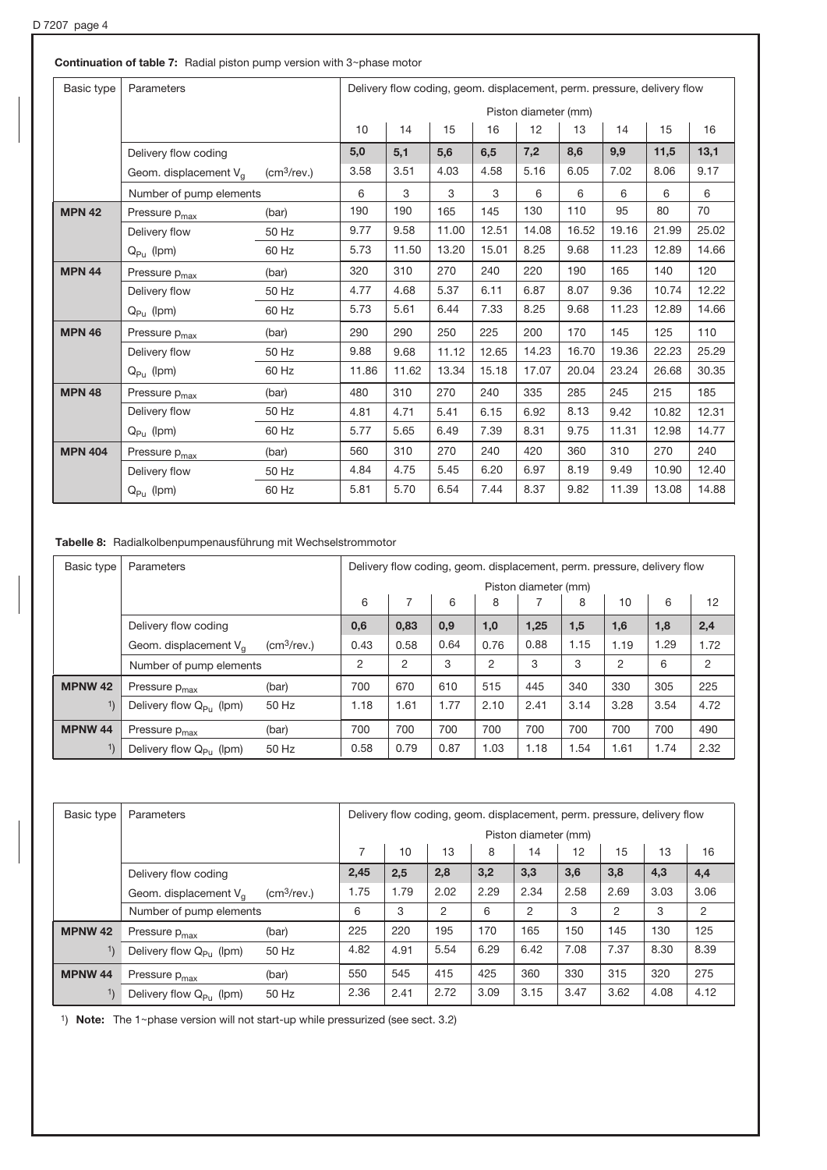| Basic type     | Parameters                |                         |       |       | Delivery flow coding, geom. displacement, perm. pressure, delivery flow |       |                      |       |       |       |       |
|----------------|---------------------------|-------------------------|-------|-------|-------------------------------------------------------------------------|-------|----------------------|-------|-------|-------|-------|
|                |                           |                         |       |       |                                                                         |       | Piston diameter (mm) |       |       |       |       |
|                |                           |                         | 10    | 14    | 15                                                                      | 16    | 12                   | 13    | 14    | 15    | 16    |
|                | Delivery flow coding      |                         | 5,0   | 5,1   | 5,6                                                                     | 6,5   | 7,2                  | 8,6   | 9,9   | 11,5  | 13,1  |
|                | Geom. displacement $V_q$  | (cm <sup>3</sup> /rev.) | 3.58  | 3.51  | 4.03                                                                    | 4.58  | 5.16                 | 6.05  | 7.02  | 8.06  | 9.17  |
|                | Number of pump elements   |                         | 6     | 3     | 3                                                                       | 3     | 6                    | 6     | 6     | 6     | 6     |
| <b>MPN 42</b>  | Pressure p <sub>max</sub> | (bar)                   | 190   | 190   | 165                                                                     | 145   | 130                  | 110   | 95    | 80    | 70    |
|                | Delivery flow             | 50 Hz                   | 9.77  | 9.58  | 11.00                                                                   | 12.51 | 14.08                | 16.52 | 19.16 | 21.99 | 25.02 |
|                | $Q_{Pu}$ (lpm)            | 60 Hz                   | 5.73  | 11.50 | 13.20                                                                   | 15.01 | 8.25                 | 9.68  | 11.23 | 12.89 | 14.66 |
| <b>MPN 44</b>  | Pressure $p_{max}$        | (bar)                   | 320   | 310   | 270                                                                     | 240   | 220                  | 190   | 165   | 140   | 120   |
|                | Delivery flow             | 50 Hz                   | 4.77  | 4.68  | 5.37                                                                    | 6.11  | 6.87                 | 8.07  | 9.36  | 10.74 | 12.22 |
|                | $Q_{PII}$ (lpm)           | 60 Hz                   | 5.73  | 5.61  | 6.44                                                                    | 7.33  | 8.25                 | 9.68  | 11.23 | 12.89 | 14.66 |
| <b>MPN 46</b>  | Pressure p <sub>max</sub> | (bar)                   | 290   | 290   | 250                                                                     | 225   | 200                  | 170   | 145   | 125   | 110   |
|                | Delivery flow             | 50 Hz                   | 9.88  | 9.68  | 11.12                                                                   | 12.65 | 14.23                | 16.70 | 19.36 | 22.23 | 25.29 |
|                | $Q_{PII}$ (lpm)           | 60 Hz                   | 11.86 | 11.62 | 13.34                                                                   | 15.18 | 17.07                | 20.04 | 23.24 | 26.68 | 30.35 |
| <b>MPN 48</b>  | Pressure p <sub>max</sub> | (bar)                   | 480   | 310   | 270                                                                     | 240   | 335                  | 285   | 245   | 215   | 185   |
|                | Delivery flow             | 50 Hz                   | 4.81  | 4.71  | 5.41                                                                    | 6.15  | 6.92                 | 8.13  | 9.42  | 10.82 | 12.31 |
|                | $Q_{Pu}$ (lpm)            | 60 Hz                   | 5.77  | 5.65  | 6.49                                                                    | 7.39  | 8.31                 | 9.75  | 11.31 | 12.98 | 14.77 |
| <b>MPN 404</b> | Pressure p <sub>max</sub> | (bar)                   | 560   | 310   | 270                                                                     | 240   | 420                  | 360   | 310   | 270   | 240   |
|                | Delivery flow             | 50 Hz                   | 4.84  | 4.75  | 5.45                                                                    | 6.20  | 6.97                 | 8.19  | 9.49  | 10.90 | 12.40 |
|                | $Q_{\rm{PII}}$ (lpm)      | 60 Hz                   | 5.81  | 5.70  | 6.54                                                                    | 7.44  | 8.37                 | 9.82  | 11.39 | 13.08 | 14.88 |

Tabelle 8: Radialkolbenpumpenausführung mit Wechselstrommotor

| Basic type     | Parameters                          |                            | Delivery flow coding, geom. displacement, perm. pressure, delivery flow |      |      |      |      |      |      |      |      |
|----------------|-------------------------------------|----------------------------|-------------------------------------------------------------------------|------|------|------|------|------|------|------|------|
|                |                                     |                            | Piston diameter (mm)                                                    |      |      |      |      |      |      |      |      |
|                |                                     |                            | 6                                                                       |      | 6    | 8    |      | 8    | 10   | 6    | 12   |
|                | Delivery flow coding                |                            | 0,6                                                                     | 0,83 | 0,9  | 1,0  | 1,25 | 1,5  | 1,6  | 1,8  | 2,4  |
|                | Geom. displacement $V_{\alpha}$     | $\text{(cm}^3\text{/rev.}$ | 0.43                                                                    | 0.58 | 0.64 | 0.76 | 0.88 | 1.15 | 1.19 | 1.29 | 1.72 |
|                | Number of pump elements             |                            | 2                                                                       | 2    | 3    | 2    | 3    | 3    | 2    | 6    | 2    |
| <b>MPNW 42</b> | Pressure p <sub>max</sub>           | (bar)                      | 700                                                                     | 670  | 610  | 515  | 445  | 340  | 330  | 305  | 225  |
| 1)             | Delivery flow $Q_{P_U}$ (lpm)       | 50 Hz                      | 1.18                                                                    | 1.61 | 1.77 | 2.10 | 2.41 | 3.14 | 3.28 | 3.54 | 4.72 |
| <b>MPNW 44</b> | Pressure p <sub>max</sub>           | (bar)                      | 700                                                                     | 700  | 700  | 700  | 700  | 700  | 700  | 700  | 490  |
| 1)             | Delivery flow Q <sub>Pu</sub> (lpm) | 50 Hz                      | 0.58                                                                    | 0.79 | 0.87 | 1.03 | 1.18 | .54  | 1.61 | 1.74 | 2.32 |

| Basic type     | Parameters                       |                         | Delivery flow coding, geom. displacement, perm. pressure, delivery flow |      |                |      |      |      |                |      |      |
|----------------|----------------------------------|-------------------------|-------------------------------------------------------------------------|------|----------------|------|------|------|----------------|------|------|
|                |                                  |                         | Piston diameter (mm)                                                    |      |                |      |      |      |                |      |      |
|                |                                  |                         | 7                                                                       | 10   | 13             | 8    | 14   | 12   | 15             | 13   | 16   |
|                | Delivery flow coding             |                         | 2,45                                                                    | 2,5  | 2,8            | 3,2  | 3,3  | 3,6  | 3,8            | 4,3  | 4,4  |
|                | Geom. displacement $V_{\alpha}$  | (cm <sup>3</sup> /rev.) | 1.75                                                                    | 1.79 | 2.02           | 2.29 | 2.34 | 2.58 | 2.69           | 3.03 | 3.06 |
|                | Number of pump elements          |                         | 6                                                                       | 3    | $\overline{2}$ | 6    | 2    | 3    | $\overline{2}$ | 3    | 2    |
| <b>MPNW 42</b> | Pressure p <sub>max</sub>        | (bar)                   | 225                                                                     | 220  | 195            | 170  | 165  | 150  | 145            | 130  | 125  |
|                | Delivery flow $Q_{PU}$ (lpm)     | 50 Hz                   | 4.82                                                                    | 4.91 | 5.54           | 6.29 | 6.42 | 7.08 | 7.37           | 8.30 | 8.39 |
| <b>MPNW 44</b> | Pressure p <sub>max</sub>        | (bar)                   | 550                                                                     | 545  | 415            | 425  | 360  | 330  | 315            | 320  | 275  |
|                | Delivery flow $Q_{P_{11}}$ (lpm) | 50 Hz                   | 2.36                                                                    | 2.41 | 2.72           | 3.09 | 3.15 | 3.47 | 3.62           | 4.08 | 4.12 |

1) Note: The  $1$ ~phase version will not start-up while pressurized (see sect. 3.2)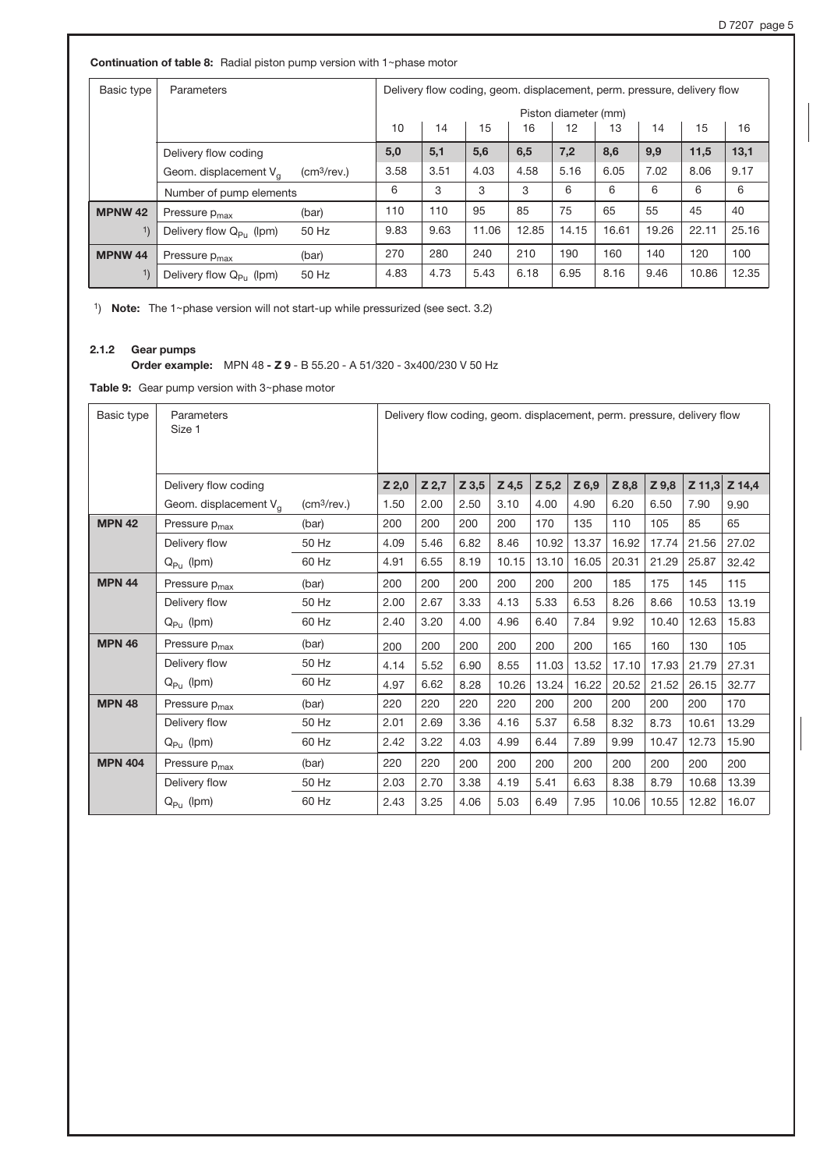Continuation of table 8: Radial piston pump version with 1~phase motor

| Basic type     | Parameters                          |                            |                                                    | Delivery flow coding, geom. displacement, perm. pressure, delivery flow |       |       |       |       |       |       |       |
|----------------|-------------------------------------|----------------------------|----------------------------------------------------|-------------------------------------------------------------------------|-------|-------|-------|-------|-------|-------|-------|
|                |                                     |                            |                                                    | Piston diameter (mm)                                                    |       |       |       |       |       |       |       |
|                |                                     |                            | 10<br>15<br>16<br>12<br>13<br>15<br>16<br>14<br>14 |                                                                         |       |       |       |       |       |       |       |
|                | Delivery flow coding                |                            | 5,0                                                | 5,1                                                                     | 5,6   | 6,5   | 7,2   | 8,6   | 9,9   | 11,5  | 13,1  |
|                | Geom. displacement $V_{\alpha}$     | $\text{(cm}^3\text{/rev.}$ | 3.58                                               | 3.51                                                                    | 4.03  | 4.58  | 5.16  | 6.05  | 7.02  | 8.06  | 9.17  |
|                | Number of pump elements             |                            | 6                                                  | 3                                                                       | 3     | 3     | 6     | 6     | 6     | 6     | 6     |
| <b>MPNW 42</b> | Pressure p <sub>max</sub>           | (bar)                      | 110                                                | 110                                                                     | 95    | 85    | 75    | 65    | 55    | 45    | 40    |
| 1)             | Delivery flow Q <sub>Pu</sub> (lpm) | 50 Hz                      | 9.83                                               | 9.63                                                                    | 11.06 | 12.85 | 14.15 | 16.61 | 19.26 | 22.11 | 25.16 |
| <b>MPNW 44</b> | Pressure $p_{max}$                  | (bar)                      | 270                                                | 280                                                                     | 240   | 210   | 190   | 160   | 140   | 120   | 100   |
| 1)             | Delivery flow $Q_{P_U}$ (lpm)       | 50 Hz                      | 4.83                                               | 4.73                                                                    | 5.43  | 6.18  | 6.95  | 8.16  | 9.46  | 10.86 | 12.35 |

1) Note: The 1~phase version will not start-up while pressurized (see sect. 3.2)

# 2.1.2 Gear pumps

# Order example: MPN 48 - Z 9 - B 55.20 - A 51/320 - 3x400/230 V 50 Hz

Table 9: Gear pump version with  $3$ ~phase motor

| Basic type     | Parameters<br>Size 1            |                            | Delivery flow coding, geom. displacement, perm. pressure, delivery flow |         |         |         |         |       |       |         |          |        |  |  |
|----------------|---------------------------------|----------------------------|-------------------------------------------------------------------------|---------|---------|---------|---------|-------|-------|---------|----------|--------|--|--|
|                | Delivery flow coding            |                            | $Z$ 2,0                                                                 | $Z$ 2,7 | $Z$ 3,5 | $Z$ 4,5 | $Z$ 5,2 | Z 6,9 | Z 8,8 | $Z$ 9,8 | $Z$ 11,3 | Z 14,4 |  |  |
|                | Geom. displacement $V_{\alpha}$ | $\text{(cm}^3\text{/rev.}$ | 1.50                                                                    | 2.00    | 2.50    | 3.10    | 4.00    | 4.90  | 6.20  | 6.50    | 7.90     | 9.90   |  |  |
| <b>MPN 42</b>  | Pressure p <sub>max</sub>       | (bar)                      | 200                                                                     | 200     | 200     | 200     | 170     | 135   | 110   | 105     | 85       | 65     |  |  |
|                | Delivery flow                   | 50 Hz                      | 4.09                                                                    | 5.46    | 6.82    | 8.46    | 10.92   | 13.37 | 16.92 | 17.74   | 21.56    | 27.02  |  |  |
|                | $Q_{Pu}$ (lpm)                  | 60 Hz                      | 4.91                                                                    | 6.55    | 8.19    | 10.15   | 13.10   | 16.05 | 20.31 | 21.29   | 25.87    | 32.42  |  |  |
| <b>MPN 44</b>  | Pressure p <sub>max</sub>       | (bar)                      | 200                                                                     | 200     | 200     | 200     | 200     | 200   | 185   | 175     | 145      | 115    |  |  |
|                | Delivery flow                   | 50 Hz                      | 2.00                                                                    | 2.67    | 3.33    | 4.13    | 5.33    | 6.53  | 8.26  | 8.66    | 10.53    | 13.19  |  |  |
|                | $Q_{Pu}$ (lpm)                  | 60 Hz                      | 2.40                                                                    | 3.20    | 4.00    | 4.96    | 6.40    | 7.84  | 9.92  | 10.40   | 12.63    | 15.83  |  |  |
| <b>MPN 46</b>  | Pressure p <sub>max</sub>       | (bar)                      | 200                                                                     | 200     | 200     | 200     | 200     | 200   | 165   | 160     | 130      | 105    |  |  |
|                | Delivery flow                   | 50 Hz                      | 4.14                                                                    | 5.52    | 6.90    | 8.55    | 11.03   | 13.52 | 17.10 | 17.93   | 21.79    | 27.31  |  |  |
|                | $Q_{Pu}$ (lpm)                  | 60 Hz                      | 4.97                                                                    | 6.62    | 8.28    | 10.26   | 13.24   | 16.22 | 20.52 | 21.52   | 26.15    | 32.77  |  |  |
| <b>MPN 48</b>  | Pressure p <sub>max</sub>       | (bar)                      | 220                                                                     | 220     | 220     | 220     | 200     | 200   | 200   | 200     | 200      | 170    |  |  |
|                | Delivery flow                   | 50 Hz                      | 2.01                                                                    | 2.69    | 3.36    | 4.16    | 5.37    | 6.58  | 8.32  | 8.73    | 10.61    | 13.29  |  |  |
|                | $Q_{Pu}$ (lpm)                  | 60 Hz                      | 2.42                                                                    | 3.22    | 4.03    | 4.99    | 6.44    | 7.89  | 9.99  | 10.47   | 12.73    | 15.90  |  |  |
| <b>MPN 404</b> | Pressure p <sub>max</sub>       | (bar)                      | 220                                                                     | 220     | 200     | 200     | 200     | 200   | 200   | 200     | 200      | 200    |  |  |
|                | Delivery flow                   | 50 Hz                      | 2.03                                                                    | 2.70    | 3.38    | 4.19    | 5.41    | 6.63  | 8.38  | 8.79    | 10.68    | 13.39  |  |  |
|                | $Q_{Pu}$ (lpm)                  | 60 Hz                      | 2.43                                                                    | 3.25    | 4.06    | 5.03    | 6.49    | 7.95  | 10.06 | 10.55   | 12.82    | 16.07  |  |  |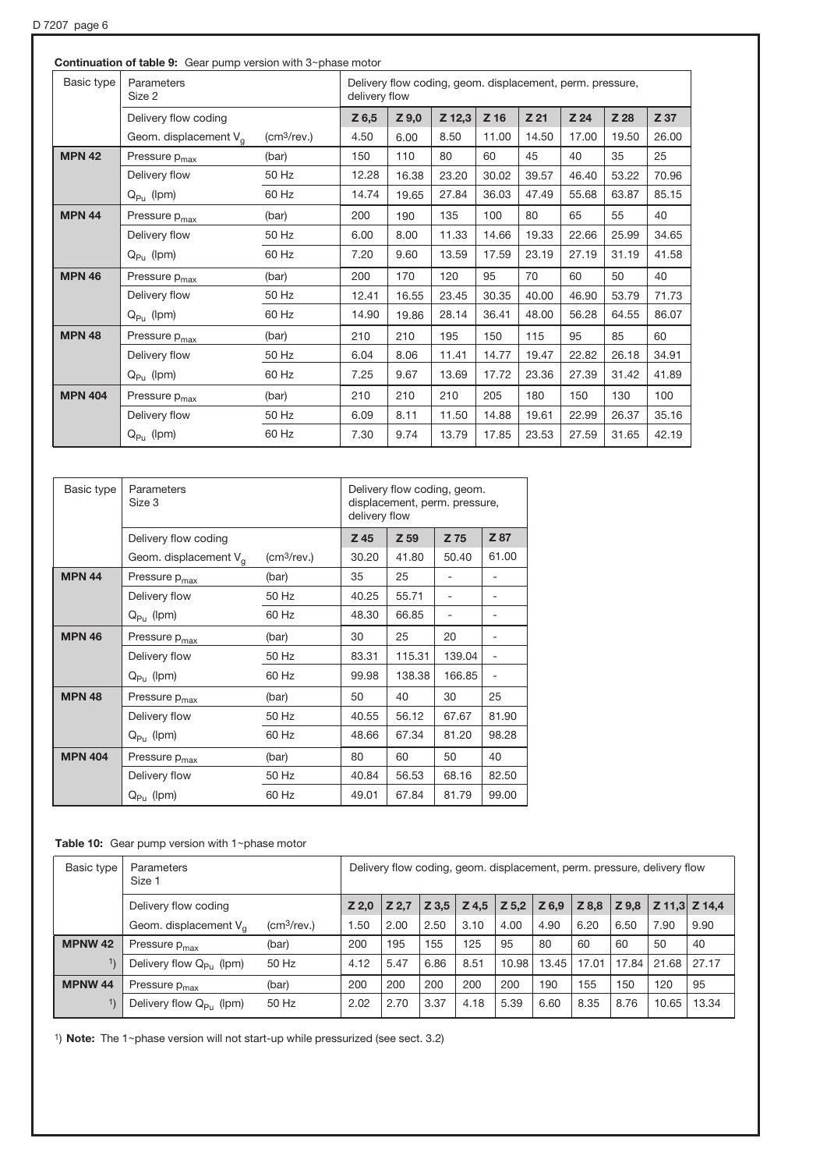|                | <b>Continuation of table 9:</b> Gear pump version with $3$ ~phase motor |                         |                                                                            |         |        |        |                 |                 |       |       |  |  |
|----------------|-------------------------------------------------------------------------|-------------------------|----------------------------------------------------------------------------|---------|--------|--------|-----------------|-----------------|-------|-------|--|--|
| Basic type     | Parameters<br>Size 2                                                    |                         | Delivery flow coding, geom. displacement, perm. pressure,<br>delivery flow |         |        |        |                 |                 |       |       |  |  |
|                | Delivery flow coding                                                    |                         | $Z$ 6,5                                                                    | $Z$ 9,0 | Z 12,3 | $Z$ 16 | Z <sub>21</sub> | Z <sub>24</sub> | Z 28  | Z 37  |  |  |
|                | Geom. displacement V <sub>a</sub>                                       | (cm <sup>3</sup> /rev.) | 4.50                                                                       | 6.00    | 8.50   | 11.00  | 14.50           | 17.00           | 19.50 | 26.00 |  |  |
| <b>MPN 42</b>  | Pressure p <sub>max</sub>                                               | (bar)                   | 150                                                                        | 110     | 80     | 60     | 45              | 40              | 35    | 25    |  |  |
|                | Delivery flow                                                           | 50 Hz                   | 12.28                                                                      | 16.38   | 23.20  | 30.02  | 39.57           | 46.40           | 53.22 | 70.96 |  |  |
|                | $Q_{\mathsf{P} \mathsf{u}}$ (lpm)                                       | 60 Hz                   | 14.74                                                                      | 19.65   | 27.84  | 36.03  | 47.49           | 55.68           | 63.87 | 85.15 |  |  |
| <b>MPN 44</b>  | Pressure p <sub>max</sub>                                               | (bar)                   | 200                                                                        | 190     | 135    | 100    | 80              | 65              | 55    | 40    |  |  |
|                | Delivery flow                                                           | 50 Hz                   | 6.00                                                                       | 8.00    | 11.33  | 14.66  | 19.33           | 22.66           | 25.99 | 34.65 |  |  |
|                | $Q_{P_U}$ (lpm)                                                         | 60 Hz                   | 7.20                                                                       | 9.60    | 13.59  | 17.59  | 23.19           | 27.19           | 31.19 | 41.58 |  |  |
| <b>MPN 46</b>  | Pressure p <sub>max</sub>                                               | (bar)                   | 200                                                                        | 170     | 120    | 95     | 70              | 60              | 50    | 40    |  |  |
|                | Delivery flow                                                           | 50 Hz                   | 12.41                                                                      | 16.55   | 23.45  | 30.35  | 40.00           | 46.90           | 53.79 | 71.73 |  |  |
|                | $Q_{P_{11}}$ (lpm)                                                      | 60 Hz                   | 14.90                                                                      | 19.86   | 28.14  | 36.41  | 48.00           | 56.28           | 64.55 | 86.07 |  |  |
| <b>MPN 48</b>  | Pressure p <sub>max</sub>                                               | (bar)                   | 210                                                                        | 210     | 195    | 150    | 115             | 95              | 85    | 60    |  |  |
|                | Delivery flow                                                           | 50 Hz                   | 6.04                                                                       | 8.06    | 11.41  | 14.77  | 19.47           | 22.82           | 26.18 | 34.91 |  |  |
|                | $Q_{\mathsf{P} \mathsf{u}}$ (lpm)                                       | 60 Hz                   | 7.25                                                                       | 9.67    | 13.69  | 17.72  | 23.36           | 27.39           | 31.42 | 41.89 |  |  |
| <b>MPN 404</b> | Pressure p <sub>max</sub>                                               | (bar)                   | 210                                                                        | 210     | 210    | 205    | 180             | 150             | 130   | 100   |  |  |
|                | Delivery flow                                                           | 50 Hz                   | 6.09                                                                       | 8.11    | 11.50  | 14.88  | 19.61           | 22.99           | 26.37 | 35.16 |  |  |
|                | $Q_{Pu}$ (lpm)                                                          | 60 Hz                   | 7.30                                                                       | 9.74    | 13.79  | 17.85  | 23.53           | 27.59           | 31.65 | 42.19 |  |  |

| Basic type     | Parameters<br>Size 3              |                                 | Delivery flow coding, geom.<br>displacement, perm. pressure,<br>delivery flow |        |        |       |  |  |
|----------------|-----------------------------------|---------------------------------|-------------------------------------------------------------------------------|--------|--------|-------|--|--|
|                | Delivery flow coding              |                                 | Z 45                                                                          | Z 59   | Z 75   | Z 87  |  |  |
|                | Geom. displacement V <sub>a</sub> | $\left(\frac{cm^3}{rev}\right)$ | 30.20                                                                         | 41.80  | 50.40  | 61.00 |  |  |
| <b>MPN 44</b>  | Pressure p <sub>max</sub>         | (bar)                           | 35                                                                            | 25     |        |       |  |  |
|                | Delivery flow                     | 50 Hz                           | 40.25                                                                         | 55.71  |        |       |  |  |
|                | $Q_{P_{11}}$ (lpm)                | 60 Hz                           | 48.30                                                                         | 66.85  |        |       |  |  |
| <b>MPN 46</b>  | Pressure p <sub>max</sub>         | (bar)                           | 30                                                                            | 25     | 20     |       |  |  |
|                | Delivery flow                     | 50 Hz                           | 83.31                                                                         | 115.31 | 139.04 |       |  |  |
|                | $Q_{Pu}$ (lpm)                    | 60 Hz                           | 99.98                                                                         | 138.38 | 166.85 |       |  |  |
| <b>MPN 48</b>  | Pressure p <sub>max</sub>         | (bar)                           | 50                                                                            | 40     | 30     | 25    |  |  |
|                | Delivery flow                     | 50 Hz                           | 40.55                                                                         | 56.12  | 67.67  | 81.90 |  |  |
|                | $Q_{P_{11}}$ (lpm)                | 60 Hz                           | 48.66                                                                         | 67.34  | 81.20  | 98.28 |  |  |
| <b>MPN 404</b> | Pressure p <sub>max</sub>         | (bar)                           | 80                                                                            | 60     | 50     | 40    |  |  |
|                | Delivery flow                     | 50 Hz                           | 40.84                                                                         | 56.53  | 68.16  | 82.50 |  |  |
|                | $Q_{Pu}$ (lpm)                    | 60 Hz                           | 49.01                                                                         | 67.84  | 81.79  | 99.00 |  |  |

# Table 10: Gear pump version with  $1$ ~phase motor

| Basic type     | Parameters<br>Size 1            |                            |       | Delivery flow coding, geom. displacement, perm. pressure, delivery flow |         |       |         |       |       |       |       |               |
|----------------|---------------------------------|----------------------------|-------|-------------------------------------------------------------------------|---------|-------|---------|-------|-------|-------|-------|---------------|
|                | Delivery flow coding            |                            | Z 2.0 | Z 2.7                                                                   | $Z$ 3.5 | Z 4,5 | $Z$ 5.2 | Z 6,9 | Z 8.8 | Z 9,8 |       | Z 11,3 Z 14,4 |
|                | Geom. displacement $V_{\alpha}$ | $\text{(cm}^3\text{/rev.}$ | .50   | 2.00                                                                    | 2.50    | 3.10  | 4.00    | 4.90  | 6.20  | 6.50  | 7.90  | 9.90          |
| <b>MPNW 42</b> | Pressure p <sub>max</sub>       | (bar)                      | 200   | 195                                                                     | 155     | 125   | 95      | 80    | 60    | 60    | 50    | 40            |
| 1)             | Delivery flow $Q_{P_{U}}$ (lpm) | 50 Hz                      | 4.12  | 5.47                                                                    | 6.86    | 8.51  | 10.98   | 13.45 | 17.01 | 17.84 | 21.68 | 27.17         |
| <b>MPNW 44</b> | Pressure p <sub>max</sub>       | (bar)                      | 200   | 200                                                                     | 200     | 200   | 200     | 190   | 155   | 150   | 120   | 95            |
| 1)             | Delivery flow $Q_{P_U}$ (lpm)   | 50 Hz                      | 2.02  | 2.70                                                                    | 3.37    | 4.18  | 5.39    | 6.60  | 8.35  | 8.76  | 10.65 | 13.34         |

1) Note: The 1~phase version will not start-up while pressurized (see sect. 3.2)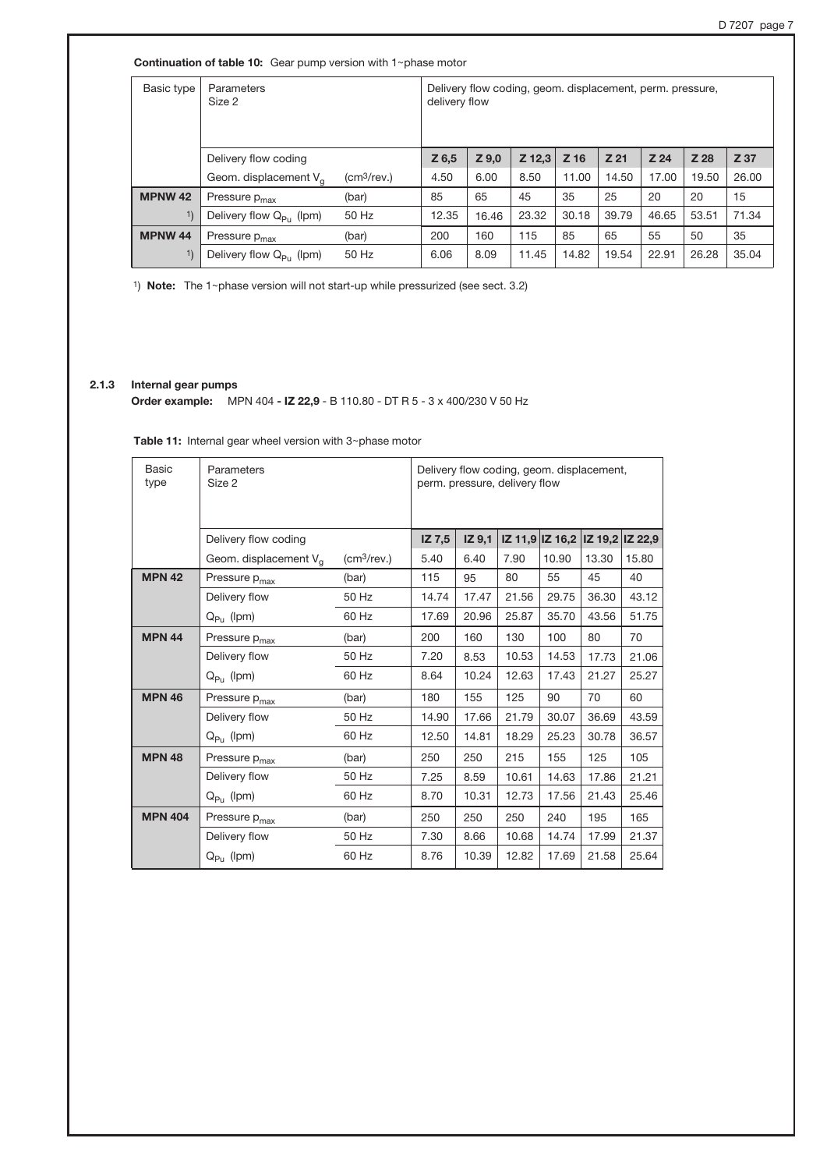**Continuation of table 10:** Gear pump version with  $1$ ~phase motor

| Basic type     | Parameters<br>Size 2            |                            | Delivery flow coding, geom. displacement, perm. pressure,<br>delivery flow |         |          |       |                 |       |       |       |
|----------------|---------------------------------|----------------------------|----------------------------------------------------------------------------|---------|----------|-------|-----------------|-------|-------|-------|
|                | Delivery flow coding            |                            | $Z$ 6,5                                                                    | $Z$ 9,0 | $Z$ 12,3 | Z 16  | Z <sub>21</sub> | Z 24  | Z 28  | Z 37  |
|                | Geom. displacement $V_{\alpha}$ | $\text{(cm}^3\text{/rev.}$ | 4.50                                                                       | 6.00    | 8.50     | 11.00 | 14.50           | 17.00 | 19.50 | 26.00 |
| <b>MPNW 42</b> | Pressure p <sub>max</sub>       | (bar)                      | 85                                                                         | 65      | 45       | 35    | 25              | 20    | 20    | 15    |
| 1)             | Delivery flow $Q_{Pu}$ (lpm)    | 50 Hz                      | 12.35                                                                      | 16.46   | 23.32    | 30.18 | 39.79           | 46.65 | 53.51 | 71.34 |
| <b>MPNW 44</b> | Pressure p <sub>max</sub>       | (bar)                      | 200                                                                        | 160     | 115      | 85    | 65              | 55    | 50    | 35    |
|                | Delivery flow $Q_{P_U}$ (lpm)   | 50 Hz                      | 6.06                                                                       | 8.09    | 11.45    | 14.82 | 19.54           | 22.91 | 26.28 | 35.04 |

1) Note: The 1~phase version will not start-up while pressurized (see sect. 3.2)

# 2.1.3 Internal gear pumps

Order example: MPN 404 - IZ 22,9 - B 110.80 - DT R 5 - 3 x 400/230 V 50 Hz

| <b>Table 11:</b> Internal gear wheel version with $3$ ~phase motor |  |
|--------------------------------------------------------------------|--|
|--------------------------------------------------------------------|--|

| <b>Basic</b><br>type | Parameters<br>Size 2              | Delivery flow coding, geom. displacement,<br>perm. pressure, delivery flow |        |        |       |                 |       |                 |
|----------------------|-----------------------------------|----------------------------------------------------------------------------|--------|--------|-------|-----------------|-------|-----------------|
|                      | Delivery flow coding              |                                                                            | IZ 7,5 | IZ 9.1 |       | IZ 11,9 IZ 16,2 |       | IZ 19,2 IZ 22,9 |
|                      | Geom. displacement V <sub>q</sub> | (cm <sup>3</sup> /rev.)                                                    | 5.40   | 6.40   | 7.90  | 10.90           | 13.30 | 15.80           |
| <b>MPN 42</b>        | Pressure p <sub>max</sub>         | (bar)                                                                      | 115    | 95     | 80    | 55              | 45    | 40              |
|                      | Delivery flow                     | 50 Hz                                                                      | 14.74  | 17.47  | 21.56 | 29.75           | 36.30 | 43.12           |
|                      | $Q_{\mathsf{P} \mathsf{u}}$ (lpm) | 60 Hz                                                                      | 17.69  | 20.96  | 25.87 | 35.70           | 43.56 | 51.75           |
| <b>MPN 44</b>        | Pressure p <sub>max</sub>         | (bar)                                                                      | 200    | 160    | 130   | 100             | 80    | 70              |
|                      | Delivery flow                     | 50 Hz                                                                      | 7.20   | 8.53   | 10.53 | 14.53           | 17.73 | 21.06           |
|                      | $Q_{P_U}$ (lpm)                   | 60 Hz                                                                      | 8.64   | 10.24  | 12.63 | 17.43           | 21.27 | 25.27           |
| <b>MPN 46</b>        | Pressure p <sub>max</sub>         | (bar)                                                                      | 180    | 155    | 125   | 90              | 70    | 60              |
|                      | Delivery flow                     | 50 Hz                                                                      | 14.90  | 17.66  | 21.79 | 30.07           | 36.69 | 43.59           |
|                      | $Q_{P_{11}}$ (lpm)                | 60 Hz                                                                      | 12.50  | 14.81  | 18.29 | 25.23           | 30.78 | 36.57           |
| <b>MPN 48</b>        | Pressure p <sub>max</sub>         | (bar)                                                                      | 250    | 250    | 215   | 155             | 125   | 105             |
|                      | Delivery flow                     | 50 Hz                                                                      | 7.25   | 8.59   | 10.61 | 14.63           | 17.86 | 21.21           |
|                      | $Q_{P_U}$ (lpm)                   | 60 Hz                                                                      | 8.70   | 10.31  | 12.73 | 17.56           | 21.43 | 25.46           |
| <b>MPN 404</b>       | Pressure p <sub>max</sub>         | (bar)                                                                      | 250    | 250    | 250   | 240             | 195   | 165             |
|                      | Delivery flow                     | 50 Hz                                                                      | 7.30   | 8.66   | 10.68 | 14.74           | 17.99 | 21.37           |
|                      | $Q_{Pu}$ (lpm)                    | 60 Hz                                                                      | 8.76   | 10.39  | 12.82 | 17.69           | 21.58 | 25.64           |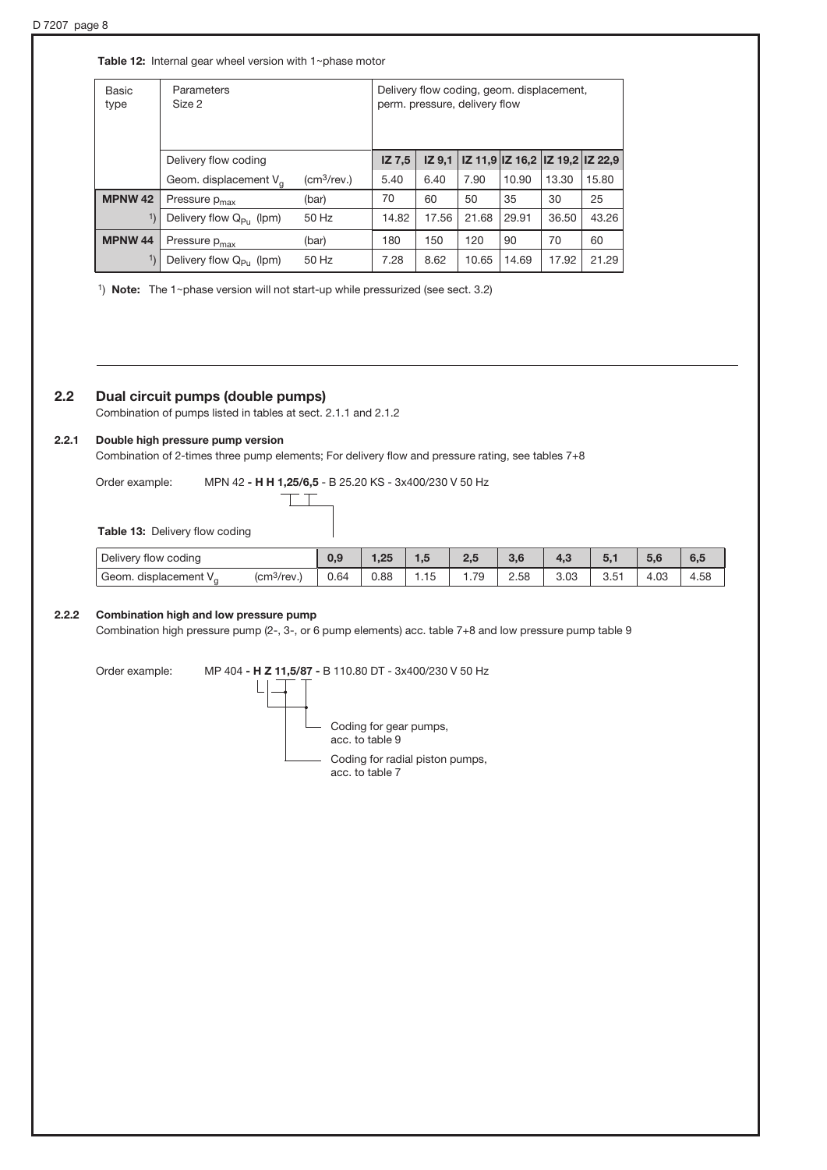Table 12: Internal gear wheel version with  $1$ ~phase motor

| <b>Basic</b><br>type | Parameters<br>Size 2             | Delivery flow coding, geom. displacement,<br>perm. pressure, delivery flow |               |                   |       |       |                                 |       |
|----------------------|----------------------------------|----------------------------------------------------------------------------|---------------|-------------------|-------|-------|---------------------------------|-------|
|                      | Delivery flow coding             |                                                                            | <b>IZ 7.5</b> | IZ <sub>9.1</sub> |       |       | IZ 11,9 IZ 16,2 IZ 19,2 IZ 22,9 |       |
|                      | Geom. displacement $V_{\alpha}$  | $\rm (cm^3$ /rev.)                                                         | 5.40          | 6.40              | 7.90  | 10.90 | 13.30                           | 15.80 |
| <b>MPNW 42</b>       | Pressure p <sub>max</sub>        | (bar)                                                                      | 70            | 60                | 50    | 35    | 30                              | 25    |
|                      | Delivery flow $Q_{p_{11}}$ (lpm) | 50 Hz                                                                      | 14.82         | 17.56             | 21.68 | 29.91 | 36.50                           | 43.26 |
| <b>MPNW 44</b>       | Pressure p <sub>max</sub>        | (bar)                                                                      | 180           | 150               | 120   | 90    | 70                              | 60    |
|                      | Delivery flow $Q_{P_U}$ (lpm)    | 50 Hz                                                                      | 7.28          | 8.62              | 10.65 | 14.69 | 17.92                           | 21.29 |

1) Note: The 1~phase version will not start-up while pressurized (see sect. 3.2)

# 2.2 Dual circuit pumps (double pumps)

Combination of pumps listed in tables at sect. 2.1.1 and 2.1.2

### 2.2.1 Double high pressure pump version

Combination of 2-times three pump elements; For delivery flow and pressure rating, see tables 7+8

Order example: MPN 42 - H H 1,25/6,5 - B 25.20 KS - 3x400/230 V 50 Hz  $\top$ 

Τ

Table 13: Delivery flow coding

| Delivery flow coding              |                                   | 0,9  | $\Omega$ | 1.V    | n E<br>,,   | $\Omega$<br>o.c | 4,3          |        | $\sim$ $\sim$<br>ວ,ເ | $\sim$ $\sim$<br>"ರು.ರ |
|-----------------------------------|-----------------------------------|------|----------|--------|-------------|-----------------|--------------|--------|----------------------|------------------------|
| Geom. displacement V <sub>o</sub> | $\sim$<br>(cm <sup>3</sup> /rev.) | 0.64 | 0.88     | . . 15 | 70<br>ت ، . | 2.58            | 0.00<br>ٽ∪.ٽ | , ن. ب | .03،                 | 4.58                   |

### 2.2.2 Combination high and low pressure pump

Combination high pressure pump (2-, 3-, or 6 pump elements) acc. table 7+8 and low pressure pump table 9

Order example: MP 404 - H Z 11,5/87 - B 110.80 DT - 3x400/230 V 50 Hz

L

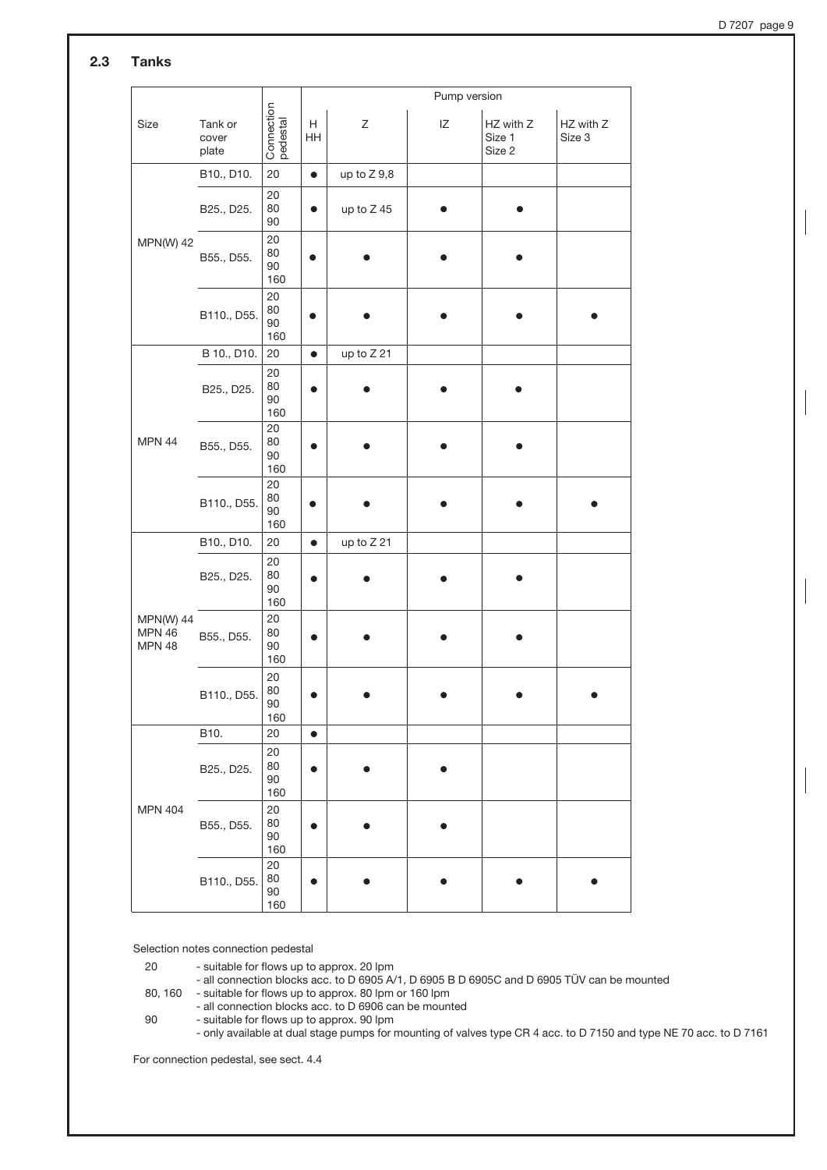D 7207 page 9

# 2.3 Tanks

|                                                    |                           |                           | Pump version |               |    |                               |                     |  |
|----------------------------------------------------|---------------------------|---------------------------|--------------|---------------|----|-------------------------------|---------------------|--|
| Size                                               | Tank or<br>cover<br>plate | Connection<br>pedestal    | H<br>HH      | Ζ             | ΙZ | HZ with Z<br>Size 1<br>Size 2 | HZ with Z<br>Size 3 |  |
|                                                    | B10., D10.                | 20                        | $\bullet$    | up to $Z$ 9,8 |    |                               |                     |  |
|                                                    | B25., D25.                | 20<br>80<br>90            | $\bullet$    | up to Z 45    |    |                               |                     |  |
| <b>MPN(W) 42</b>                                   | B55., D55.                | 20<br>80<br>90<br>160     |              |               |    |                               |                     |  |
|                                                    | B110., D55.               | 20<br>80<br>90<br>160     |              |               |    |                               |                     |  |
|                                                    | B 10., D10.               | 20                        | $\bullet$    | up to Z 21    |    |                               |                     |  |
|                                                    | B25., D25.                | 20<br>80<br>90<br>160     |              |               |    |                               |                     |  |
| <b>MPN 44</b>                                      | B55., D55.                | 20<br>80<br>90<br>160     |              |               |    |                               |                     |  |
|                                                    | B110., D55.               | 20<br>80<br>90<br>160     |              |               |    |                               |                     |  |
|                                                    | B10., D10.                | 20                        | $\bullet$    | up to Z 21    |    |                               |                     |  |
|                                                    | B25., D25.                | 20<br>80<br>90<br>160     |              |               |    |                               |                     |  |
| <b>MPN(W) 44</b><br><b>MPN 46</b><br><b>MPN 48</b> | B55., D55.                | 20<br>80<br>90<br>160     |              |               |    |                               |                     |  |
|                                                    | B110., D55.               | 20<br>80<br>$90\,$<br>160 |              |               |    |                               |                     |  |
|                                                    | B10.                      | 20                        | $\bullet$    |               |    |                               |                     |  |
|                                                    | B25., D25.                | 20<br>80<br>$90\,$<br>160 | $\bullet$    |               |    |                               |                     |  |
| <b>MPN 404</b>                                     | B55., D55.                | 20<br>80<br>$90\,$<br>160 | ●            |               |    |                               |                     |  |
|                                                    | B110., D55.               | 20<br>80<br>$90\,$<br>160 | $\bullet$    |               |    |                               |                     |  |

Selection notes connection pedestal

20 - suitable for flows up to approx. 20 lpm

- all connection blocks acc. to D 6905 A/1, D 6905 B D 6905C and D 6905 TÜV can be mounted

80, 160 - suitable for flows up to approx. 80 lpm or 160 lpm

- all connection blocks acc. to D 6906 can be mounted

90 - suitable for flows up to approx. 90 lpm

- only available at dual stage pumps for mounting of valves type CR 4 acc. to D 7150 and type NE 70 acc. to D 7161

For connection pedestal, see sect. 4.4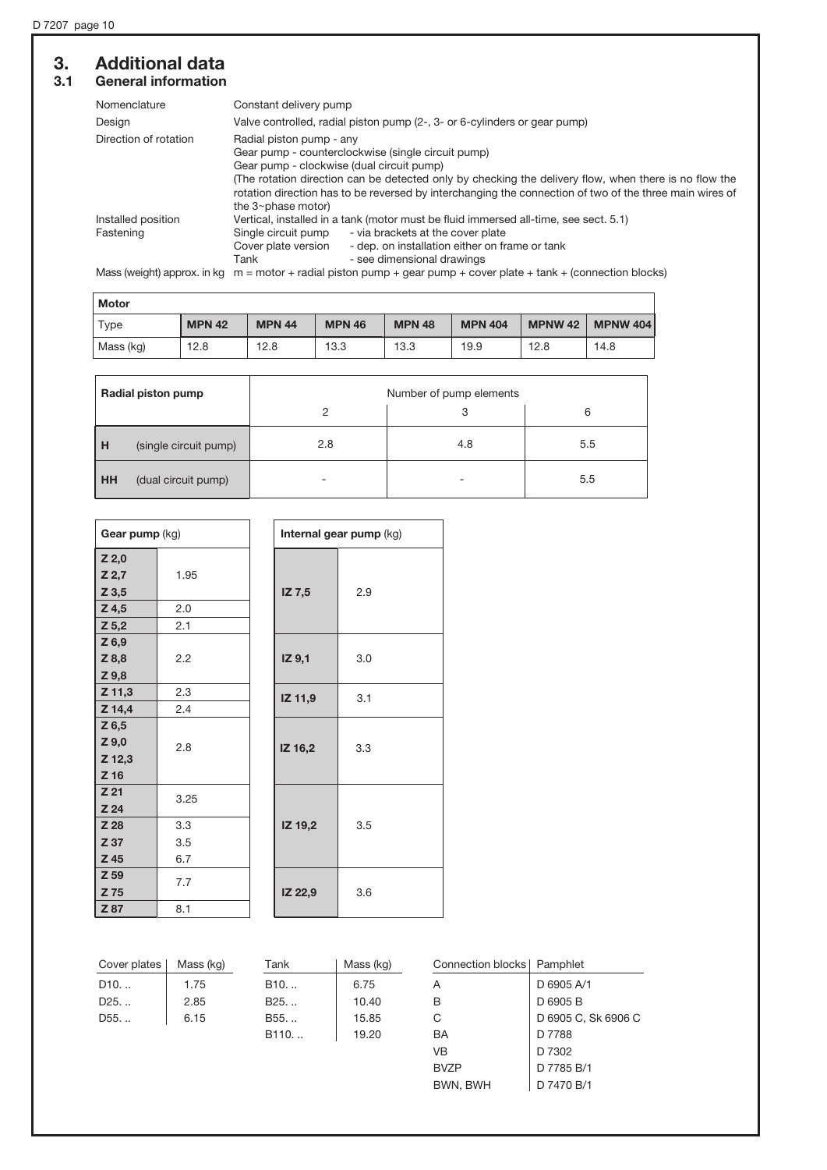# **3. Additional data**<br>3.1 General information General information

| Nomenclature          | Constant delivery pump                                                                                                                                                                                                                   |  |  |  |  |  |  |
|-----------------------|------------------------------------------------------------------------------------------------------------------------------------------------------------------------------------------------------------------------------------------|--|--|--|--|--|--|
| Design                | Valve controlled, radial piston pump (2-, 3- or 6-cylinders or gear pump)                                                                                                                                                                |  |  |  |  |  |  |
| Direction of rotation | Radial piston pump - any                                                                                                                                                                                                                 |  |  |  |  |  |  |
|                       | Gear pump - counterclockwise (single circuit pump)                                                                                                                                                                                       |  |  |  |  |  |  |
|                       | Gear pump - clockwise (dual circuit pump)                                                                                                                                                                                                |  |  |  |  |  |  |
|                       | The rotation direction can be detected only by checking the delivery flow, when there is no flow the<br>rotation direction has to be reversed by interchanging the connection of two of the three main wires of<br>the $3$ ~phase motor) |  |  |  |  |  |  |
| Installed position    | Vertical, installed in a tank (motor must be fluid immersed all-time, see sect. 5.1)                                                                                                                                                     |  |  |  |  |  |  |
| Fastening             | - via brackets at the cover plate<br>Single circuit pump                                                                                                                                                                                 |  |  |  |  |  |  |
|                       | - dep. on installation either on frame or tank<br>Cover plate version                                                                                                                                                                    |  |  |  |  |  |  |
|                       | - see dimensional drawings<br>Tank                                                                                                                                                                                                       |  |  |  |  |  |  |
|                       |                                                                                                                                                                                                                                          |  |  |  |  |  |  |

Mass (weight) approx. in kg  $m = motor + radial$  piston pump + gear pump + cover plate + tank + (connection blocks)

| Motor       |               |               |               |               |                |                |                 |
|-------------|---------------|---------------|---------------|---------------|----------------|----------------|-----------------|
| <b>Type</b> | <b>MPN 42</b> | <b>MPN 44</b> | <b>MPN 46</b> | <b>MPN 48</b> | <b>MPN 404</b> | <b>MPNW 42</b> | <b>MPNW 404</b> |
| Mass (kg)   | 12.8          | 12.8          | 13.3          | 13.3          | 19.9           | 12.8           | 14.8            |

| Radial piston pump |                       | Number of pump elements |     |     |  |  |  |  |
|--------------------|-----------------------|-------------------------|-----|-----|--|--|--|--|
|                    |                       |                         |     | 6   |  |  |  |  |
| H                  | (single circuit pump) | 2.8                     | 4.8 | 5.5 |  |  |  |  |
| I нн               | (dual circuit pump)   |                         |     | 5.5 |  |  |  |  |

| Gear pump (kg)                       |            |         | Internal gear pump (kg) |
|--------------------------------------|------------|---------|-------------------------|
| $Z$ 2,0<br>Z 2,7<br>Z 3,5            | 1.95       | IZ 7,5  | 2.9                     |
| Z 4,5                                | 2.0<br>2.1 |         |                         |
| $Z$ 5,2<br>Z 6,9                     |            |         |                         |
| Z 8,8<br>$Z$ 9,8                     | 2.2        | IZ 9,1  | 3.0                     |
| $Z$ 11,3                             | 2.3        |         |                         |
| Z 14,4                               | 2.4        | IZ 11,9 | 3.1                     |
| $Z$ 6,5<br>Z 9,0<br>Z 12,3<br>$Z$ 16 | 2.8        | IZ 16,2 | 3.3                     |
| Z <sub>21</sub><br>Z 24              | 3.25       |         |                         |
| Z 28                                 | 3.3        | IZ 19,2 | 3.5                     |
| Z 37                                 | 3.5        |         |                         |
| Z 45                                 | 6.7        |         |                         |
| Z 59<br>Z 75                         | 7.7        | IZ 22,9 | 3.6                     |
| Z 87                                 | 8.1        |         |                         |

| Cover plates    | Mass (kg) | Tank             | Mass (kg) | Connection blocks   Pamphlet |                     |
|-----------------|-----------|------------------|-----------|------------------------------|---------------------|
| D10             | 1.75      | $B10.$           | 6.75      | A                            | D 6905 A/1          |
| D <sub>25</sub> | 2.85      | B <sub>25</sub>  | 10.40     | в                            | D 6905 B            |
| D <sub>55</sub> | 6.15      | B55.             | 15.85     | С                            | D 6905 C, Sk 6906 C |
|                 |           | B <sub>110</sub> | 19.20     | BA                           | D 7788              |
|                 |           |                  |           | VB                           | D 7302              |
|                 |           |                  |           | <b>BVZP</b>                  | D 7785 B/1          |
|                 |           |                  |           | BWN, BWH                     | D 7470 B/1          |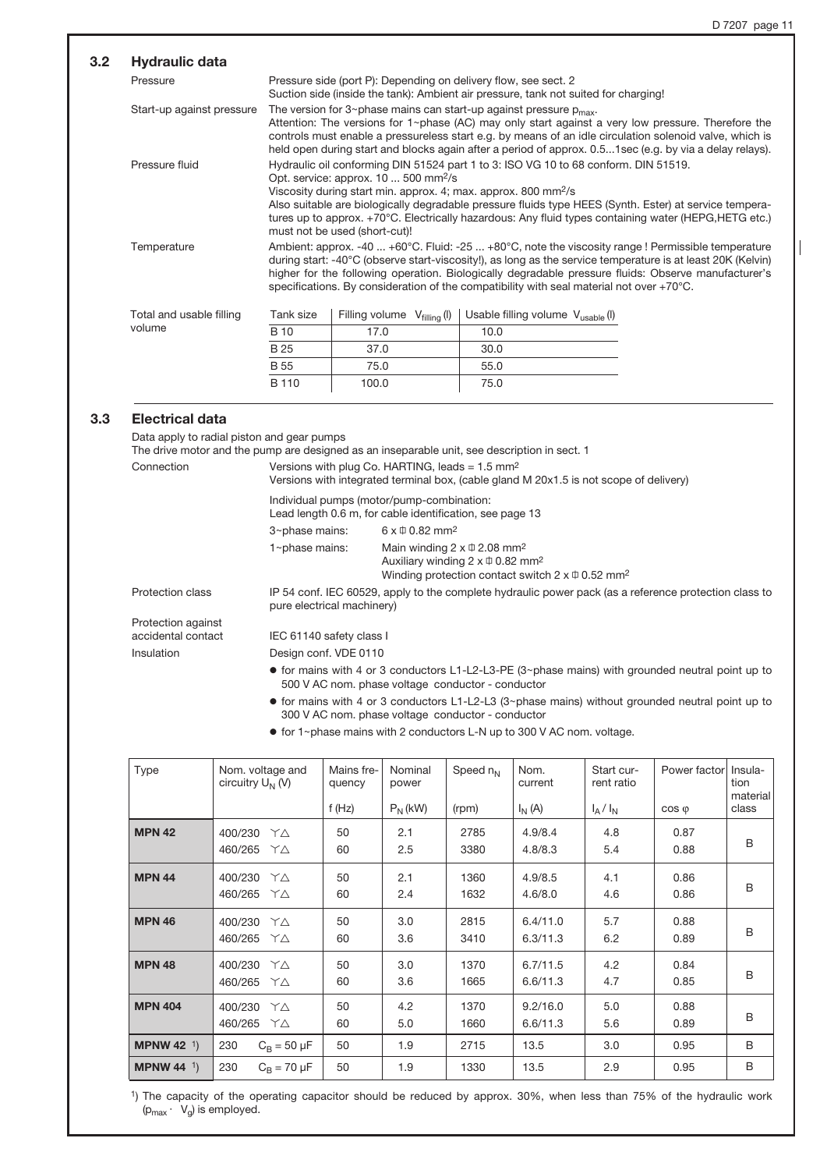#### Pressure Pressure side (port P): Depending on delivery flow, see sect. 2 Suction side (inside the tank): Ambient air pressure, tank not suited for charging! Start-up against pressure The version for 3~phase mains can start-up against pressure  $p_{\sf max}$ . Attention: The versions for 1~phase (AC) may only start against a very low pressure. Therefore the controls must enable a pressureless start e.g. by means of an idle circulation solenoid valve, which is held open during start and blocks again after a period of approx. 0.5...1sec (e.g. by via a delay relays). Pressure fluid Hydraulic oil conforming DIN 51524 part 1 to 3: ISO VG 10 to 68 conform. DIN 51519. Opt. service: approx. 10 ... 500 mm2/s Viscosity during start min. approx. 4; max. approx. 800 mm2/s Also suitable are biologically degradable pressure fluids type HEES (Synth. Ester) at service temperatures up to approx. +70°C. Electrically hazardous: Any fluid types containing water (HEPG,HETG etc.) must not be used (short-cut)! Temperature Ambient: approx. -40 ... +60°C. Fluid: -25 ... +80°C, note the viscosity range ! Permissible temperature during start: -40°C (observe start-viscosity!), as long as the service temperature is at least 20K (Kelvin) higher for the following operation. Biologically degradable pressure fluids: Observe manufacturer's specifications. By consideration of the compatibility with seal material not over +70°C. 3.2 Hydraulic data Total and usable filling volume Filling volume  $V_{\text{filling}}(I)$  Usable filling volume  $V_{\text{usable}}(I)$ 17.0 37.0 10.0 30.0 Tank size B 10  $\overline{B25}$

# 3.3 Electrical data

Data apply to radial piston and gear pumps

B 55 B 110

The drive motor and the pump are designed as an inseparable unit, see description in sect. 1

75.0 100.0

| Connection                               | Versions with plug Co. HARTING, leads = $1.5 \text{ mm}^2$<br>Versions with integrated terminal box, (cable gland M 20x1.5 is not scope of delivery) |                                                                                                                                                                                                        |  |  |  |  |
|------------------------------------------|------------------------------------------------------------------------------------------------------------------------------------------------------|--------------------------------------------------------------------------------------------------------------------------------------------------------------------------------------------------------|--|--|--|--|
|                                          |                                                                                                                                                      | Individual pumps (motor/pump-combination:<br>Lead length 0.6 m, for cable identification, see page 13                                                                                                  |  |  |  |  |
|                                          | 3~phase mains:                                                                                                                                       | $6 \times \text{ } 0.82 \text{ mm}^2$                                                                                                                                                                  |  |  |  |  |
|                                          | 1~phase mains:                                                                                                                                       | Main winding $2 \times \text{ } \oplus 2.08 \text{ mm}^2$<br>Auxiliary winding $2 \times \text{ } \oplus 0.82 \text{ mm}^2$<br>Winding protection contact switch $2 \times \text{ } 0.52 \text{ mm}^2$ |  |  |  |  |
| <b>Protection class</b>                  | pure electrical machinery)                                                                                                                           | IP 54 conf. IEC 60529, apply to the complete hydraulic power pack (as a reference protection class to                                                                                                  |  |  |  |  |
| Protection against<br>accidental contact | IEC 61140 safety class I                                                                                                                             |                                                                                                                                                                                                        |  |  |  |  |
| Insulation                               | Design conf. VDE 0110                                                                                                                                |                                                                                                                                                                                                        |  |  |  |  |
|                                          |                                                                                                                                                      | $\bullet$ for mains with 4 or 3 conductors L1-L2-L3-PE (3~phase mains) with grounded neutral point up to<br>500 V AC nom. phase voltage conductor - conductor                                          |  |  |  |  |
|                                          |                                                                                                                                                      | $\bullet$ for mains with 4 or 3 conductors L1-L2-L3 (3~phase mains) without grounded neutral point up to                                                                                               |  |  |  |  |

55.0 75.0

300 V AC nom. phase voltage conductor - conductor

 $\bullet$  for 1~phase mains with 2 conductors L-N up to 300 V AC nom. voltage.

| <b>Type</b>        | Nom. voltage and<br>circuitry $U_N$ (V) | Mains fre-<br>quency<br>f(Hz) | Nominal<br>power<br>$P_N(kW)$ | Speed $n_N$<br>(rpm) | Nom.<br>current<br>$I_N(A)$ | Start cur-<br>rent ratio<br>$I_A/I_N$ | Power factor<br>$\cos \varphi$ | Insula-<br>tion<br>material<br>class |
|--------------------|-----------------------------------------|-------------------------------|-------------------------------|----------------------|-----------------------------|---------------------------------------|--------------------------------|--------------------------------------|
| <b>MPN 42</b>      | 400/230<br>YΔ<br>460/265<br>YΔ          | 50<br>60                      | 2.1<br>2.5                    | 2785<br>3380         | 4.9/8.4<br>4.8/8.3          | 4.8<br>5.4                            | 0.87<br>0.88                   | B                                    |
| <b>MPN 44</b>      | 400/230<br>YΔ<br>460/265<br>YΔ          | 50<br>60                      | 2.1<br>2.4                    | 1360<br>1632         | 4.9/8.5<br>4.6/8.0          | 4.1<br>4.6                            | 0.86<br>0.86                   | B                                    |
| <b>MPN 46</b>      | 400/230<br>YΔ<br>460/265<br>YΔ          | 50<br>60                      | 3.0<br>3.6                    | 2815<br>3410         | 6.4/11.0<br>6.3/11.3        | 5.7<br>6.2                            | 0.88<br>0.89                   | B                                    |
| <b>MPN 48</b>      | 400/230<br>YΛ<br>460/265<br>YΔ          | 50<br>60                      | 3.0<br>3.6                    | 1370<br>1665         | 6.7/11.5<br>6.6/11.3        | 4.2<br>4.7                            | 0.84<br>0.85                   | B                                    |
| <b>MPN 404</b>     | 400/230<br>YΔ<br>460/265<br>YΔ          | 50<br>60                      | 4.2<br>5.0                    | 1370<br>1660         | 9.2/16.0<br>6.6/11.3        | 5.0<br>5.6                            | 0.88<br>0.89                   | B                                    |
| <b>MPNW 42</b> $1$ | 230<br>$C_{\rm B} = 50 \mu F$           | 50                            | 1.9                           | 2715                 | 13.5                        | 3.0                                   | 0.95                           | B                                    |
| <b>MPNW 44</b> $1$ | 230<br>$C_{\rm B}$ = 70 $\mu$ F         | 50                            | 1.9                           | 1330                 | 13.5                        | 2.9                                   | 0.95                           | B                                    |

1) The capacity of the operating capacitor should be reduced by approx. 30%, when less than 75% of the hydraulic work  $(p_{\text{max}} \cdot V_{\text{o}})$  is employed.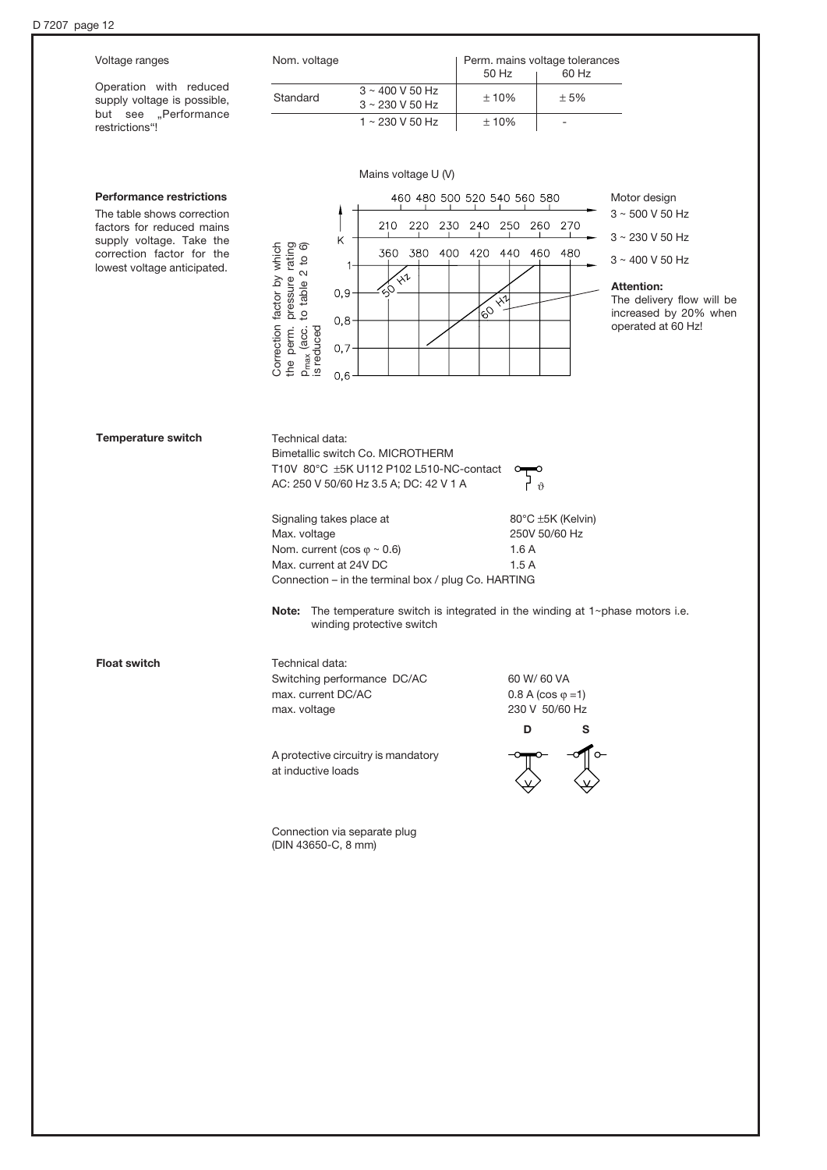| Voltage ranges                                                                | Nom. voltage                                                                      | Perm. mains voltage tolerances<br>50 Hz<br>60 Hz                              |                                                |
|-------------------------------------------------------------------------------|-----------------------------------------------------------------------------------|-------------------------------------------------------------------------------|------------------------------------------------|
| Operation with reduced<br>supply voltage is possible,<br>but see "Performance | $3 \sim 400$ V 50 Hz<br>Standard<br>3~230 V 50 Hz<br>1~230 V 50 Hz                | ±10%<br>± 5%<br>±10%<br>$\overline{\phantom{a}}$                              |                                                |
| restrictions"!                                                                |                                                                                   |                                                                               |                                                |
|                                                                               | Mains voltage U (V)                                                               |                                                                               |                                                |
| <b>Performance restrictions</b>                                               |                                                                                   | 460 480 500 520 540 560 580                                                   | Motor design                                   |
| The table shows correction<br>factors for reduced mains                       | 230<br>210<br>220                                                                 | 240 250<br>270<br>260                                                         | $3 \sim 500$ V 50 Hz                           |
| supply voltage. Take the<br>correction factor for the                         | Κ<br>360<br>380<br>400                                                            | 420<br>440<br>460<br>480                                                      | $3 \sim 230$ V 50 Hz                           |
| lowest voltage anticipated.                                                   | $x^2$                                                                             |                                                                               | $3 \sim 400$ V 50 Hz                           |
|                                                                               | 0, 9                                                                              | $x^{\overline{u}}$                                                            | <b>Attention:</b><br>The delivery flow will be |
|                                                                               | pressure rating<br>to table 2 to 6)<br>0,8                                        | $\mathcal{C}_{\mathcal{O}}$                                                   | increased by 20% when                          |
|                                                                               | Correction factor by which<br>the perm.<br>P <sub>max</sub> (acc.<br>is reduced   |                                                                               | operated at 60 Hz!                             |
|                                                                               | 0,7                                                                               |                                                                               |                                                |
|                                                                               | 0,6                                                                               |                                                                               |                                                |
|                                                                               |                                                                                   |                                                                               |                                                |
| <b>Temperature switch</b>                                                     | Technical data:<br>Bimetallic switch Co. MICROTHERM                               |                                                                               |                                                |
|                                                                               | T10V 80°C ±5K U112 P102 L510-NC-contact<br>AC: 250 V 50/60 Hz 3.5 A; DC: 42 V 1 A | $\vartheta$                                                                   |                                                |
|                                                                               | Signaling takes place at                                                          | 80°C ±5K (Kelvin)                                                             |                                                |
|                                                                               | Max. voltage<br>Nom. current (cos $\varphi \sim 0.6$ )                            | 250V 50/60 Hz<br>1.6A                                                         |                                                |
|                                                                               | Max. current at 24V DC                                                            | 1.5A                                                                          |                                                |
|                                                                               | Connection - in the terminal box / plug Co. HARTING                               |                                                                               |                                                |
|                                                                               | Note:<br>winding protective switch                                                | The temperature switch is integrated in the winding at $1$ ~phase motors i.e. |                                                |
| <b>Float switch</b>                                                           | Technical data:                                                                   |                                                                               |                                                |
|                                                                               | Switching performance DC/AC                                                       | 60 W/ 60 VA                                                                   |                                                |
|                                                                               | max. current DC/AC<br>max. voltage                                                | $0.8 A (cos \varphi = 1)$<br>230 V 50/60 Hz                                   |                                                |
|                                                                               |                                                                                   | D<br>s                                                                        |                                                |
|                                                                               |                                                                                   |                                                                               |                                                |
|                                                                               | A protective circuitry is mandatory<br>at inductive loads                         |                                                                               |                                                |
|                                                                               |                                                                                   |                                                                               |                                                |
|                                                                               | Connection via separate plug<br>(DIN 43650-C, 8 mm)                               |                                                                               |                                                |
|                                                                               |                                                                                   |                                                                               |                                                |
|                                                                               |                                                                                   |                                                                               |                                                |
|                                                                               |                                                                                   |                                                                               |                                                |
|                                                                               |                                                                                   |                                                                               |                                                |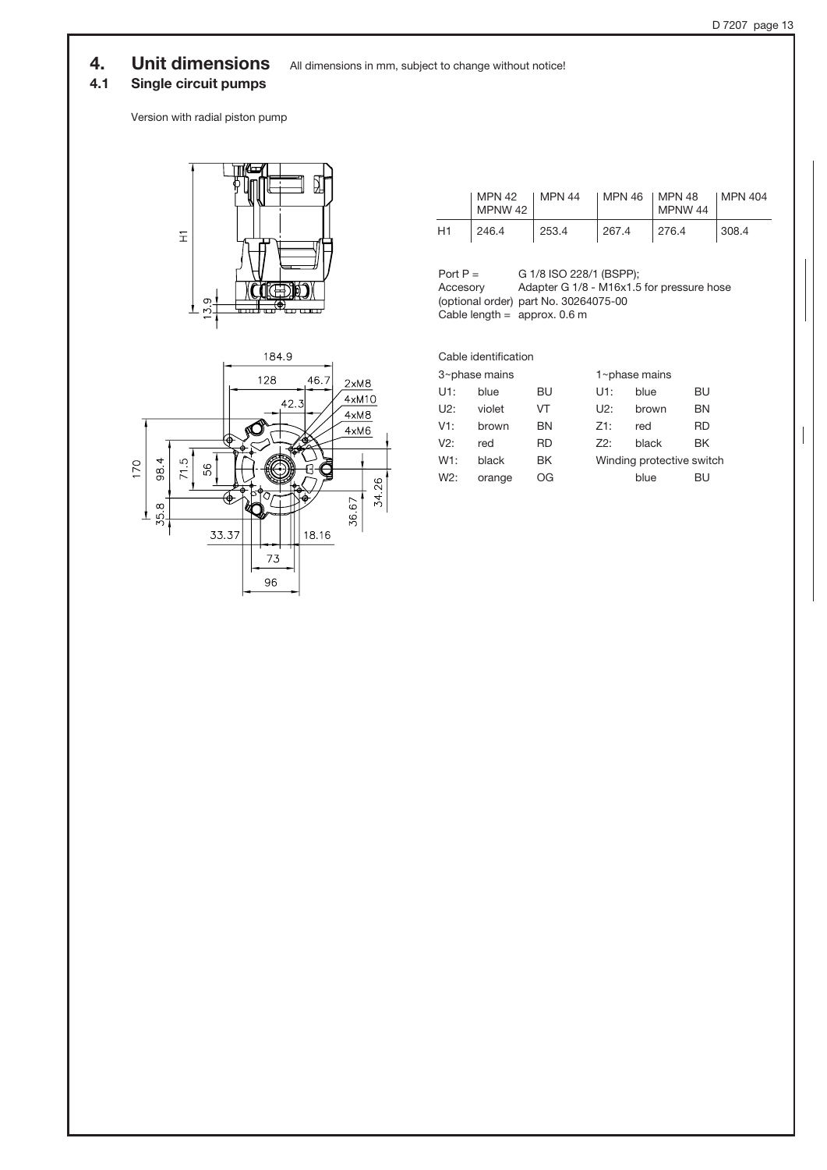# 4. Unit dimensions All dimensions in mm, subject to change without notice!

# 4.1 Single circuit pumps

Version with radial piston pump





|    | MPN 42<br>MPNW 42 | MPN 44 | MPN 46 | 1 MPN 48<br>MPNW 44 | I MPN 404 |
|----|-------------------|--------|--------|---------------------|-----------|
| H1 | 246.4             | 253.4  | 267.4  | 276.4               | 308.4     |

Port  $P =$ Accesory (optional order) part No. 30264075-00 Cable length  $=$  approx. 0.6 m G 1/8 ISO 228/1 (BSPP); Adapter G 1/8 - M16x1.5 for pressure hose

Cable identification 3~phase mains 1~phase mains U1: blue BU U1: blue BU U2: violet VT U2: brown BN V1: brown BN Z1: red RD V2: red RD Z2: black BK W1: black BK Winding protective switch W2: orange OG blue BU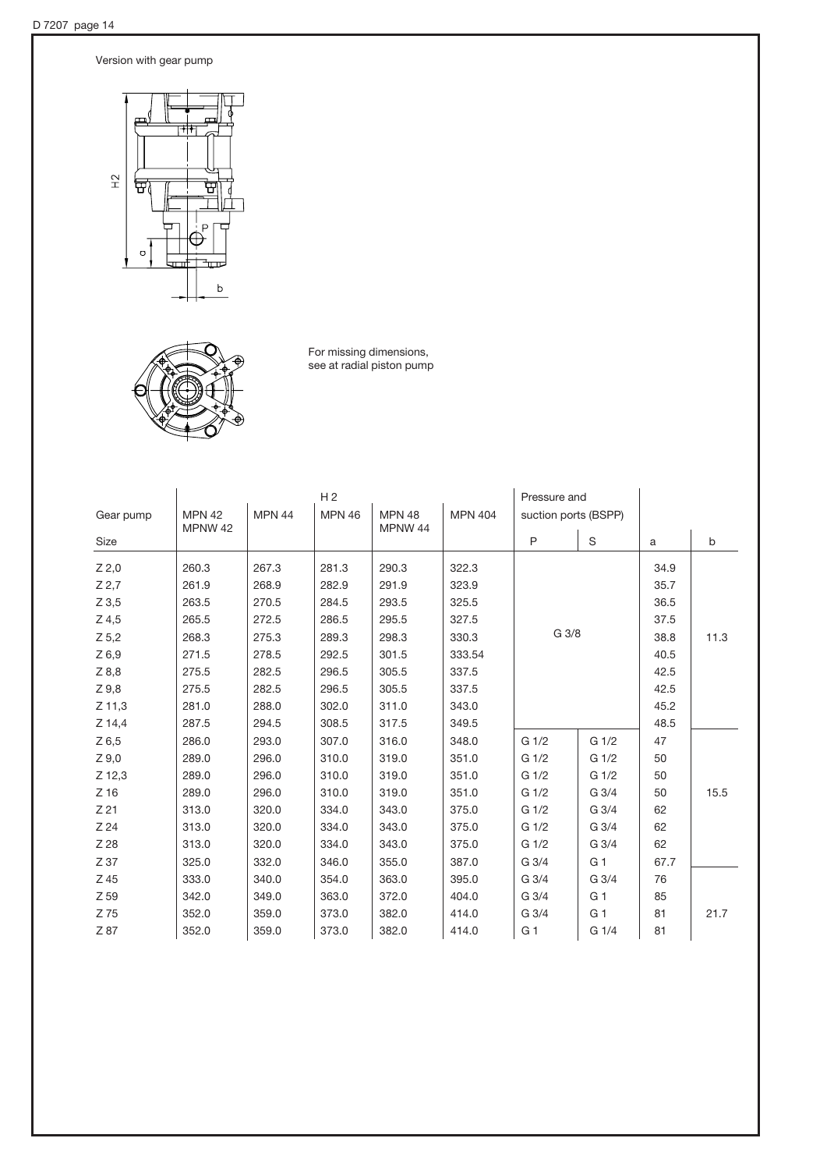Version with gear pump



For missing dimensions, see at radial piston pump

|           | H <sub>2</sub>           |                                                                                                      |       |       | Pressure and |                  |                  |              |      |
|-----------|--------------------------|------------------------------------------------------------------------------------------------------|-------|-------|--------------|------------------|------------------|--------------|------|
| Gear pump | <b>MPN 42</b><br>MPNW 42 | <b>MPN 44</b><br><b>MPN 46</b><br><b>MPN 48</b><br><b>MPN 404</b><br>suction ports (BSPP)<br>MPNW 44 |       |       |              |                  |                  |              |      |
| Size      |                          |                                                                                                      |       |       |              | P                | S                | $\mathsf{a}$ | b    |
| $Z$ 2,0   | 260.3                    | 267.3                                                                                                | 281.3 | 290.3 | 322.3        |                  |                  | 34.9         |      |
| $Z$ 2.7   | 261.9                    | 268.9                                                                                                | 282.9 | 291.9 | 323.9        |                  |                  | 35.7         |      |
| $Z$ 3,5   | 263.5                    | 270.5                                                                                                | 284.5 | 293.5 | 325.5        |                  |                  | 36.5         |      |
| $Z$ 4,5   | 265.5                    | 272.5                                                                                                | 286.5 | 295.5 | 327.5        |                  |                  | 37.5         |      |
| Z 5,2     | 268.3                    | 275.3                                                                                                | 289.3 | 298.3 | 330.3        |                  | G 3/8            |              | 11.3 |
| $Z$ 6,9   | 271.5                    | 278.5                                                                                                | 292.5 | 301.5 | 333.54       |                  |                  | 40.5         |      |
| Z8,8      | 275.5                    | 282.5                                                                                                | 296.5 | 305.5 | 337.5        |                  |                  | 42.5         |      |
| Z 9,8     | 275.5                    | 282.5                                                                                                | 296.5 | 305.5 | 337.5        |                  |                  | 42.5         |      |
| $Z$ 11,3  | 281.0                    | 288.0                                                                                                | 302.0 | 311.0 | 343.0        |                  |                  | 45.2         |      |
| Z 14,4    | 287.5                    | 294.5                                                                                                | 308.5 | 317.5 | 349.5        |                  |                  | 48.5         |      |
| $Z$ 6,5   | 286.0                    | 293.0                                                                                                | 307.0 | 316.0 | 348.0        | G <sub>1/2</sub> | G <sub>1/2</sub> | 47           |      |
| $Z\,9,0$  | 289.0                    | 296.0                                                                                                | 310.0 | 319.0 | 351.0        | G <sub>1/2</sub> | G <sub>1/2</sub> | 50           |      |
| Z 12,3    | 289.0                    | 296.0                                                                                                | 310.0 | 319.0 | 351.0        | G <sub>1/2</sub> | G <sub>1/2</sub> | 50           |      |
| $Z$ 16    | 289.0                    | 296.0                                                                                                | 310.0 | 319.0 | 351.0        | G <sub>1/2</sub> | G 3/4            | 50           | 15.5 |
| Z 21      | 313.0                    | 320.0                                                                                                | 334.0 | 343.0 | 375.0        | G <sub>1/2</sub> | G 3/4            | 62           |      |
| Z 24      | 313.0                    | 320.0                                                                                                | 334.0 | 343.0 | 375.0        | G 1/2            | G 3/4            | 62           |      |
| Z 28      | 313.0                    | 320.0                                                                                                | 334.0 | 343.0 | 375.0        | G <sub>1/2</sub> | G 3/4            | 62           |      |
| Z 37      | 325.0                    | 332.0                                                                                                | 346.0 | 355.0 | 387.0        | $G_3/4$          | G <sub>1</sub>   | 67.7         |      |
| Z 45      | 333.0                    | 340.0                                                                                                | 354.0 | 363.0 | 395.0        | G 3/4            | G 3/4            | 76           |      |
| Z 59      | 342.0                    | 349.0                                                                                                | 363.0 | 372.0 | 404.0        | G 3/4            | G <sub>1</sub>   | 85           |      |
| Z 75      | 352.0                    | 359.0                                                                                                | 373.0 | 382.0 | 414.0        | G 3/4            | G 1              | 81           | 21.7 |
| Z 87      | 352.0                    | 359.0                                                                                                | 373.0 | 382.0 | 414.0        | G <sub>1</sub>   | G 1/4            | 81           |      |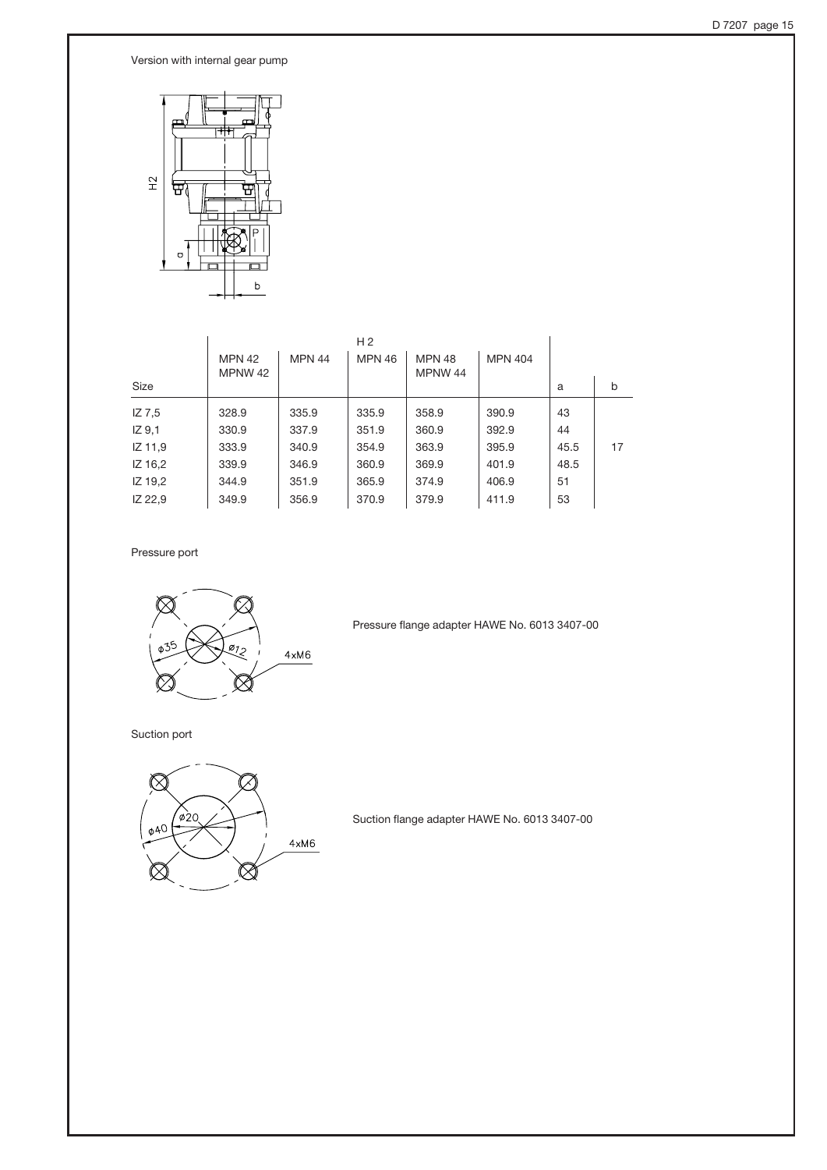Version with internal gear pump



|                   |                          |               | H <sub>2</sub> |                          |                |      |    |
|-------------------|--------------------------|---------------|----------------|--------------------------|----------------|------|----|
|                   | <b>MPN 42</b><br>MPNW 42 | <b>MPN 44</b> | <b>MPN 46</b>  | <b>MPN 48</b><br>MPNW 44 | <b>MPN 404</b> |      |    |
| Size              |                          |               |                |                          |                | a    | b  |
| IZ 7.5            | 328.9                    | 335.9         | 335.9          | 358.9                    | 390.9          | 43   |    |
| IZ <sub>9,1</sub> | 330.9                    | 337.9         | 351.9          | 360.9                    | 392.9          | 44   |    |
| IZ 11,9           | 333.9                    | 340.9         | 354.9          | 363.9                    | 395.9          | 45.5 | 17 |
| IZ 16,2           | 339.9                    | 346.9         | 360.9          | 369.9                    | 401.9          | 48.5 |    |
| IZ 19,2           | 344.9                    | 351.9         | 365.9          | 374.9                    | 406.9          | 51   |    |
| IZ 22,9           | 349.9                    | 356.9         | 370.9          | 379.9                    | 411.9          | 53   |    |
|                   |                          |               |                |                          |                |      |    |

Pressure port



Pressure flange adapter HAWE No. 6013 3407-00

Suction port



Suction flange adapter HAWE No. 6013 3407-00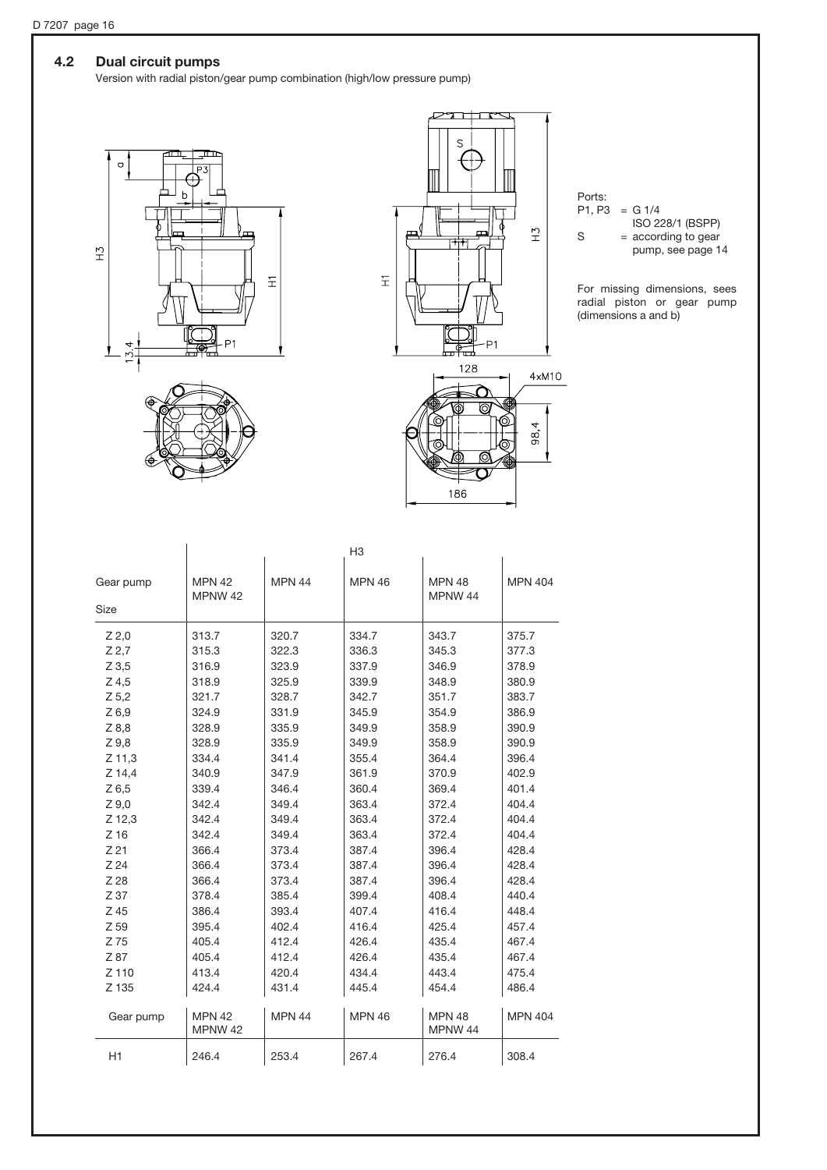# 4.2 Dual circuit pumps

Version with radial piston/gear pump combination (high/low pressure pump)







Ports:  $P1, P3 = G 1/4$ 

ISO 228/1 (BSPP)

 $S = according to gear$ pump, see page 14

For missing dimensions, sees radial piston or gear pump (dimensions a and b)

|                 |                          |               | H <sub>3</sub> |                          |                |
|-----------------|--------------------------|---------------|----------------|--------------------------|----------------|
| Gear pump       | <b>MPN 42</b><br>MPNW 42 | <b>MPN 44</b> | <b>MPN 46</b>  | <b>MPN 48</b><br>MPNW 44 | <b>MPN 404</b> |
| <b>Size</b>     |                          |               |                |                          |                |
| $Z$ 2,0         | 313.7                    | 320.7         | 334.7          | 343.7                    | 375.7          |
| $Z$ 2,7         | 315.3                    | 322.3         | 336.3          | 345.3                    | 377.3          |
| $Z$ 3.5         | 316.9                    | 323.9         | 337.9          | 346.9                    | 378.9          |
| $Z$ 4,5         | 318.9                    | 325.9         | 339.9          | 348.9                    | 380.9          |
| $Z$ 5,2         | 321.7                    | 328.7         | 342.7          | 351.7                    | 383.7          |
| Z6,9            | 324.9                    | 331.9         | 345.9          | 354.9                    | 386.9          |
| Z8,8            | 328.9                    | 335.9         | 349.9          | 358.9                    | 390.9          |
| Z9,8            | 328.9                    | 335.9         | 349.9          | 358.9                    | 390.9          |
| Z 11,3          | 334.4                    | 341.4         | 355.4          | 364.4                    | 396.4          |
| Z 14,4          | 340.9                    | 347.9         | 361.9          | 370.9                    | 402.9          |
| $Z$ 6,5         | 339.4                    | 346.4         | 360.4          | 369.4                    | 401.4          |
| Z9,0            | 342.4                    | 349.4         | 363.4          | 372.4                    | 404.4          |
| Z 12,3          | 342.4                    | 349.4         | 363.4          | 372.4                    | 404.4          |
| $Z$ 16          | 342.4                    | 349.4         | 363.4          | 372.4                    | 404.4          |
| Z <sub>21</sub> | 366.4                    | 373.4         | 387.4          | 396.4                    | 428.4          |
| Z <sub>24</sub> | 366.4                    | 373.4         | 387.4          | 396.4                    | 428.4          |
| Z 28            | 366.4                    | 373.4         | 387.4          | 396.4                    | 428.4          |
| Z 37            | 378.4                    | 385.4         | 399.4          | 408.4                    | 440.4          |
| Z 45            | 386.4                    | 393.4         | 407.4          | 416.4                    | 448.4          |
| Z 59            | 395.4                    | 402.4         | 416.4          | 425.4                    | 457.4          |
| Z 75            | 405.4                    | 412.4         | 426.4          | 435.4                    | 467.4          |
| Z 87            | 405.4                    | 412.4         | 426.4          | 435.4                    | 467.4          |
| Z 110           | 413.4                    | 420.4         | 434.4          | 443.4                    | 475.4          |
| Z 135           | 424.4                    | 431.4         | 445.4          | 454.4                    | 486.4          |
| Gear pump       | <b>MPN 42</b><br>MPNW 42 | <b>MPN 44</b> | <b>MPN 46</b>  | <b>MPN 48</b><br>MPNW 44 | <b>MPN 404</b> |
| H1              | 246.4                    | 253.4         | 267.4          | 276.4                    | 308.4          |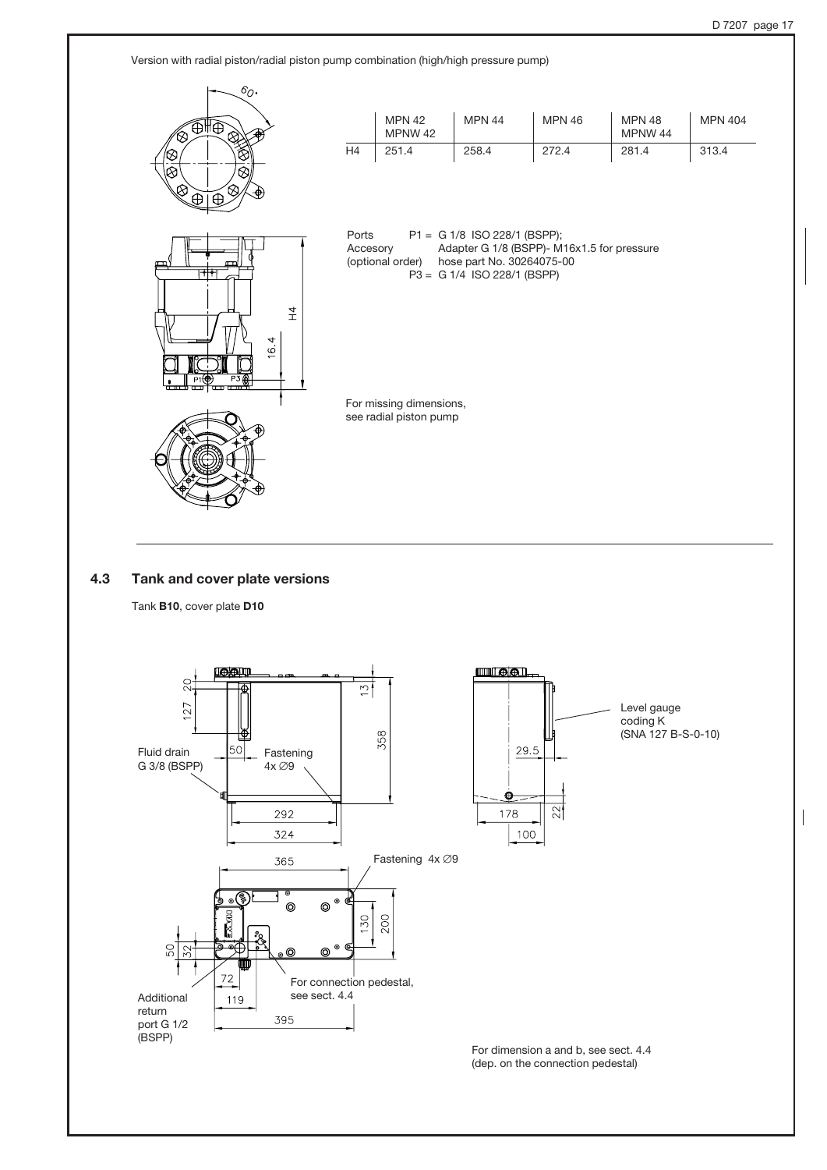Version with radial piston/radial piston pump combination (high/high pressure pump)



### 4.3 Tank and cover plate versions

Tank B10, cover plate D10

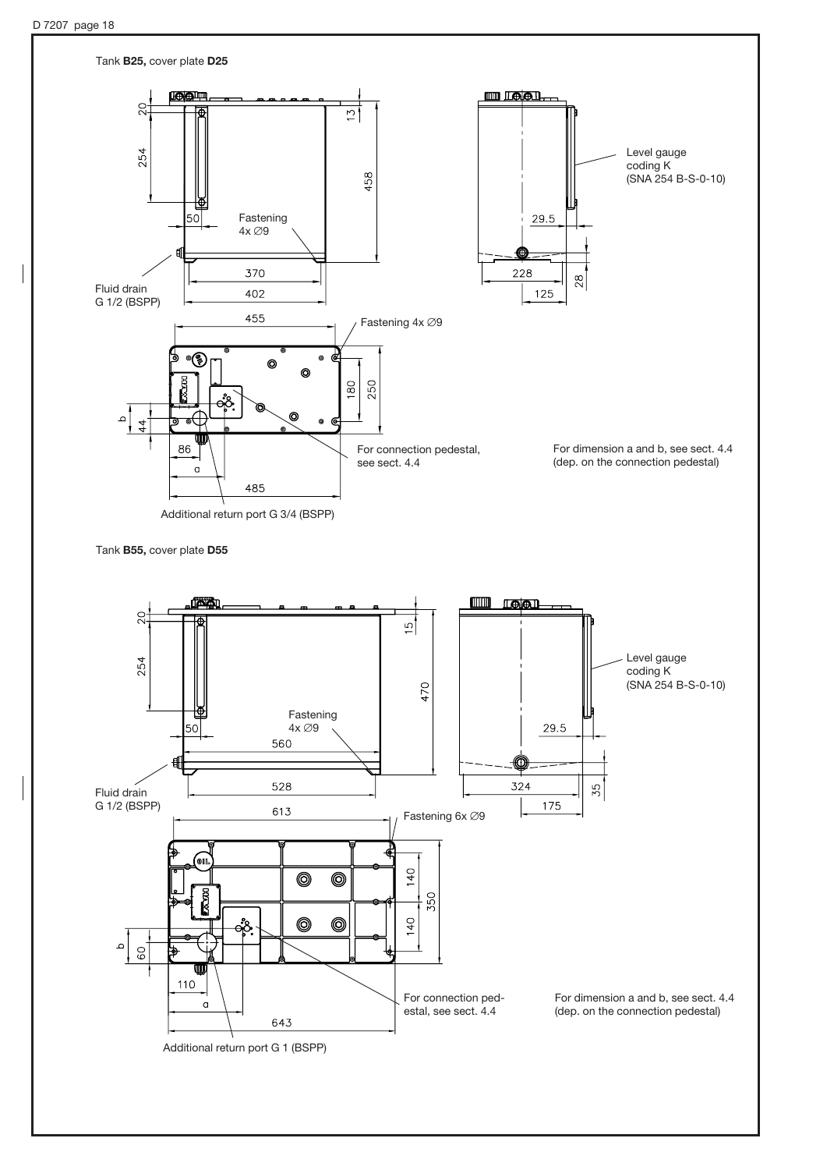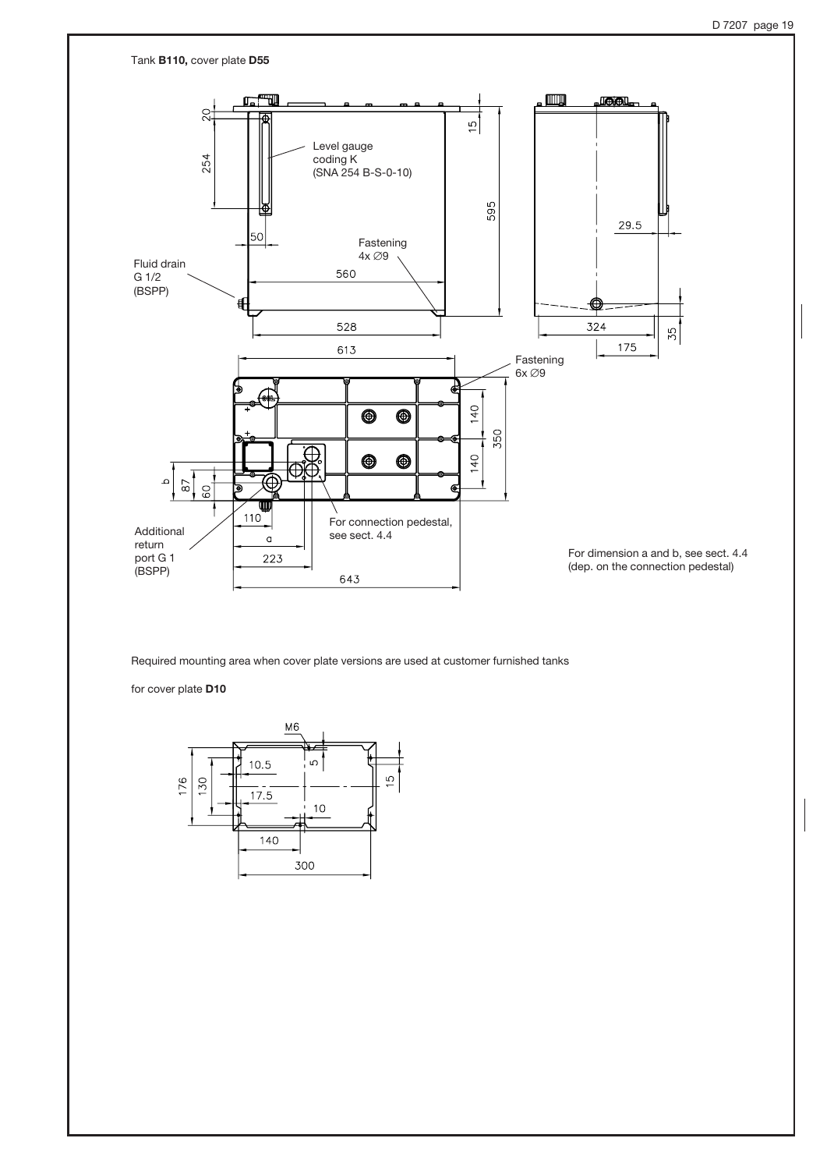

Required mounting area when cover plate versions are used at customer furnished tanks

for cover plate D10

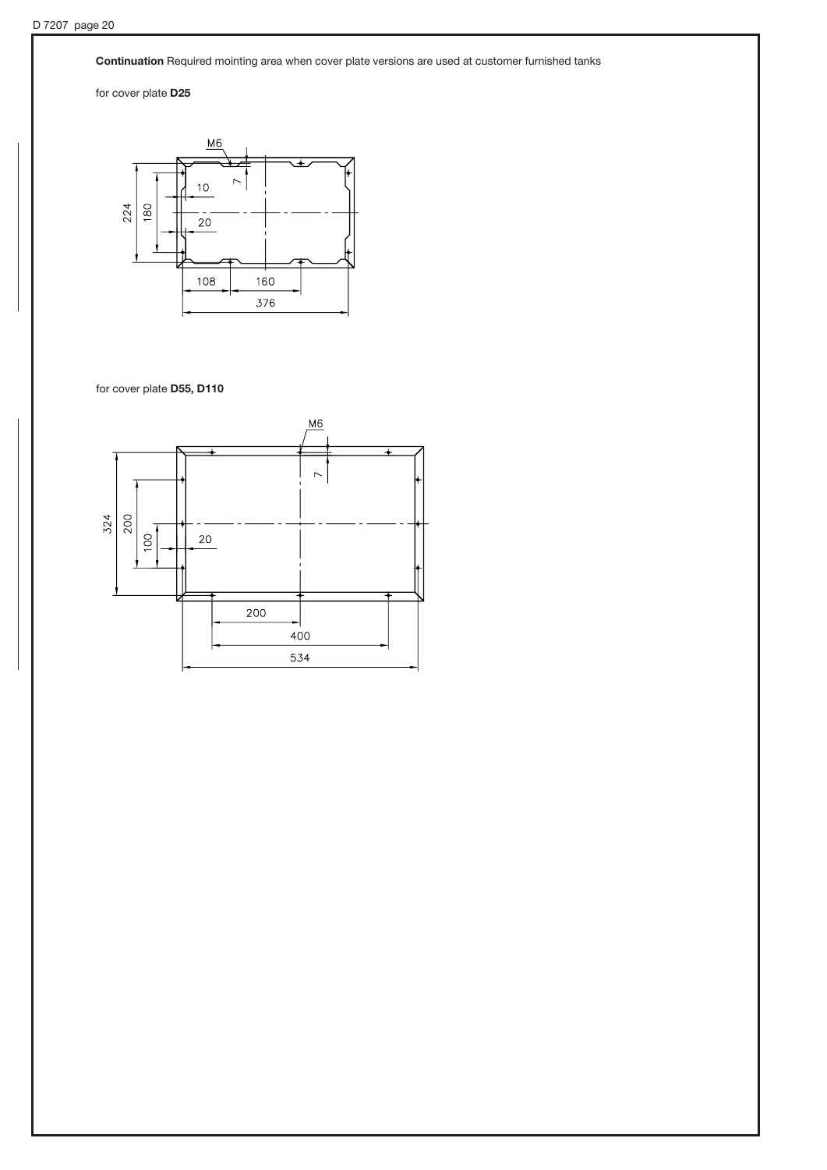Continuation Required mointing area when cover plate versions are used at customer furnished tanks

for cover plate D25



for cover plate D55, D110

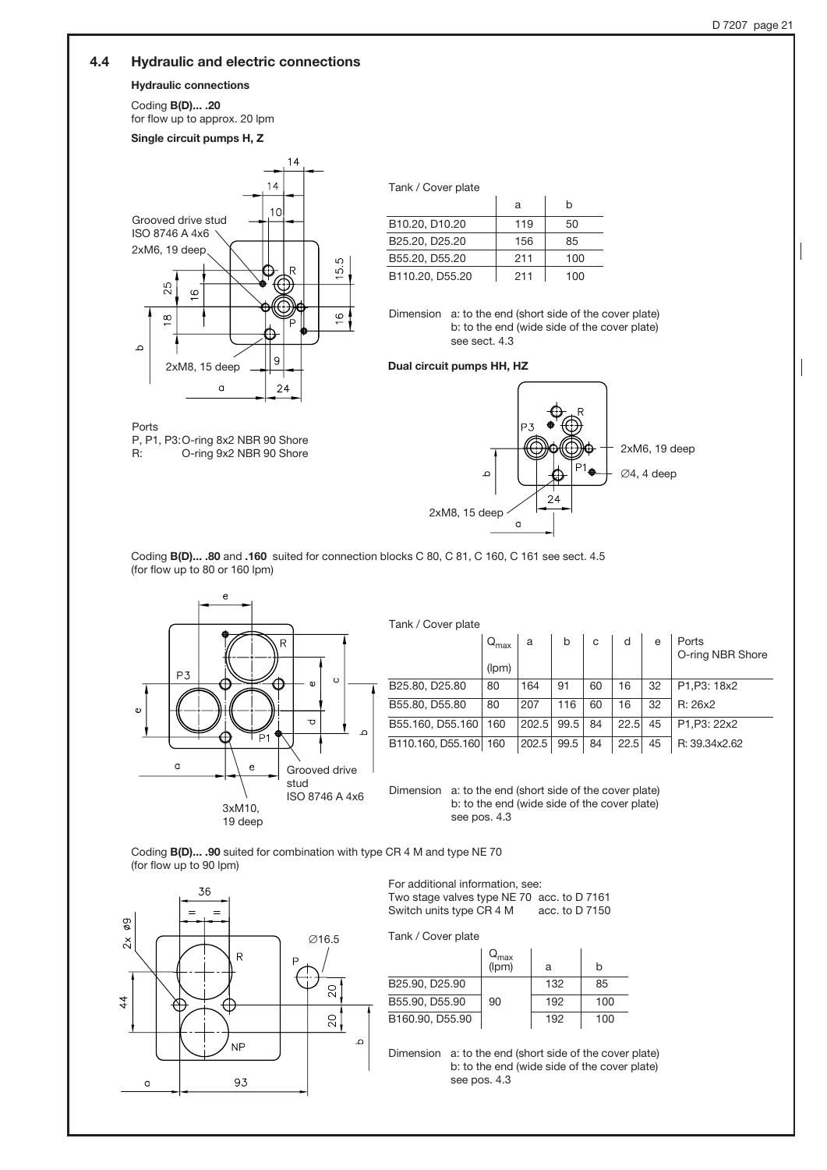# 4.4 Hydraulic and electric connections

### Hydraulic connections

Coding B(D)... .20

Ports

for flow up to approx. 20 lpm



P, P1, P3: O-ring 8x2 NBR 90 Shore<br>R: 0-ring 9x2 NBR 90 Shore O-ring 9x2 NBR 90 Shore

| Tank / Cover plate                      |     |           |  |  |  |  |  |
|-----------------------------------------|-----|-----------|--|--|--|--|--|
|                                         | a   | h         |  |  |  |  |  |
| B10.20, D10.20                          | 119 | 50        |  |  |  |  |  |
| B <sub>25.20</sub> , D <sub>25.20</sub> | 156 | 85        |  |  |  |  |  |
| B55.20, D55.20                          | 211 | 100       |  |  |  |  |  |
| B110.20, D55.20                         | 211 | 1 ( ) ( ) |  |  |  |  |  |

Dimension a: to the end (short side of the cover plate) b: to the end (wide side of the cover plate) see sect. 4.3

#### Dual circuit pumps HH, HZ



Coding B(D)... .80 and .160 suited for connection blocks C 80, C 81, C 160, C 161 see sect. 4.5 (for flow up to 80 or 160 lpm)



Tank / Cover plate

|                       | $Q_{\text{max}}$ | a          | b    | C  | d    | e  | Ports<br>O-ring NBR Shore |
|-----------------------|------------------|------------|------|----|------|----|---------------------------|
|                       | (lpm)            |            |      |    |      |    |                           |
| B25.80, D25.80        | 80               | 164        | 91   | 60 | 16   | 32 | P1, P3: 18x2              |
| B55.80, D55.80        | 80               | 207        | 116  | 60 | 16   | 32 | R: 26x2                   |
| B55.160, D55.160      | 160              | 202.5 99.5 |      | 84 | 22.5 | 45 | P1, P3: 22x2              |
| B110.160, D55.160 160 |                  | 202.5      | 99.5 | 84 | 22.5 | 45 | R: 39.34x2.62             |

Dimension a: to the end (short side of the cover plate) b: to the end (wide side of the cover plate) see pos. 4.3

Coding B(D)... .90 suited for combination with type CR 4 M and type NE 70 (for flow up to 90 lpm)



For additional information, see: Two stage valves type NE 70 acc. to D 7161 Switch units type CR 4 M acc. to D 7150

Tank / Cover plate

|                                         | Q <sub>max</sub><br>(lpm) | а   | h   |
|-----------------------------------------|---------------------------|-----|-----|
| B <sub>25.90</sub> , D <sub>25.90</sub> |                           | 132 | 85  |
| B55.90, D55.90                          | 90                        | 192 | 100 |
| B160.90, D55.90                         |                           | 192 | 100 |

Dimension a: to the end (short side of the cover plate) b: to the end (wide side of the cover plate) see pos. 4.3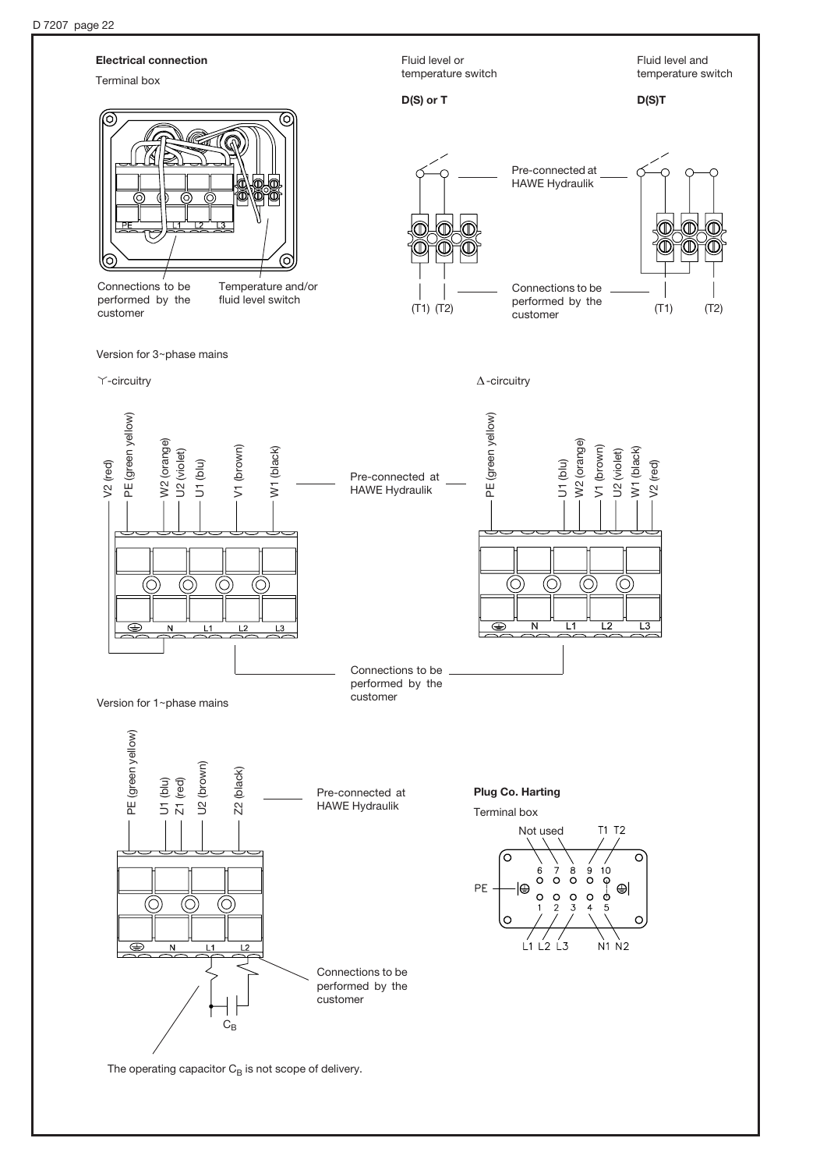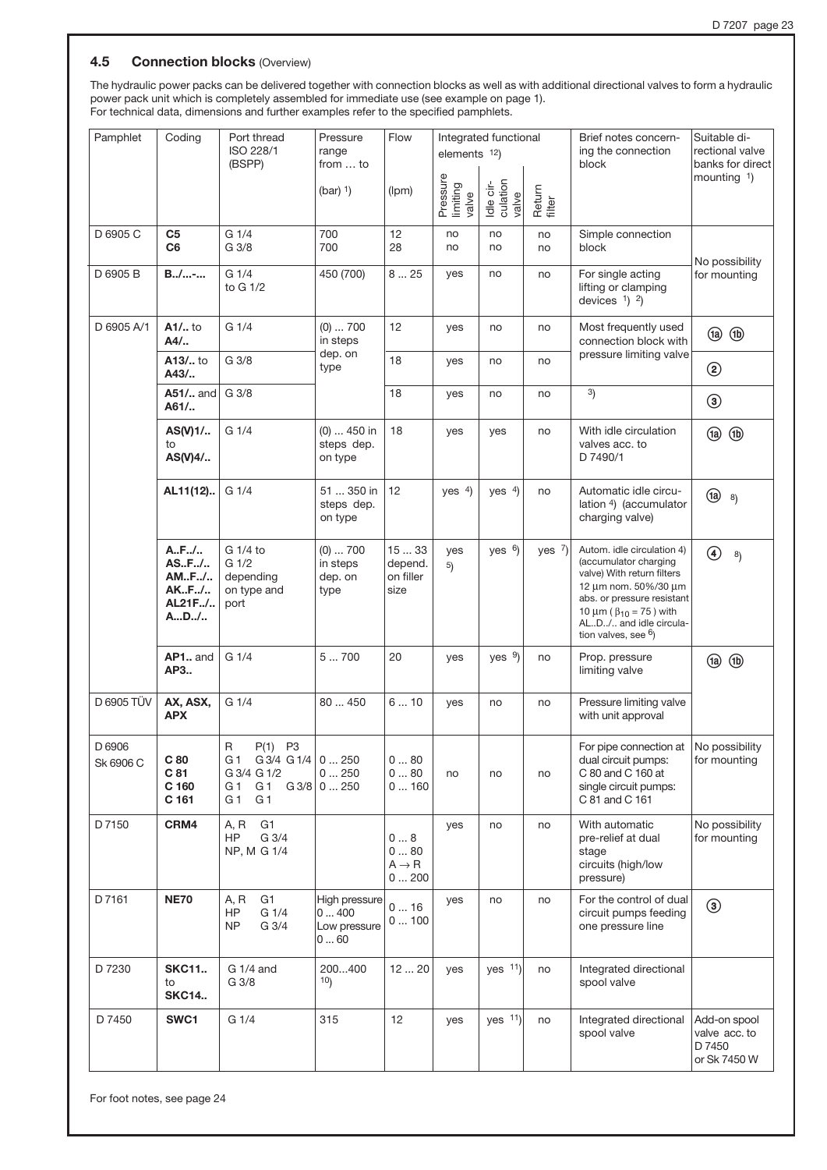### **4.5 Connection blocks (Overview)**

The hydraulic power packs can be delivered together with connection blocks as well as with additional directional valves to form a hydraulic power pack unit which is completely assembled for immediate use (see example on page 1). For technical data, dimensions and further examples refer to the specified pamphlets.

| Pamphlet            | Coding                                       | Port thread<br>ISO 228/1<br>(BSPP)                                                                                           | Pressure<br>range<br>from  to                   | Flow                                     | elements 12)                  | Integrated functional          |                  | Brief notes concern-<br>ing the connection<br>block                                                                                                                                                                                 | Suitable di-<br>rectional valve<br>banks for direct     |  |
|---------------------|----------------------------------------------|------------------------------------------------------------------------------------------------------------------------------|-------------------------------------------------|------------------------------------------|-------------------------------|--------------------------------|------------------|-------------------------------------------------------------------------------------------------------------------------------------------------------------------------------------------------------------------------------------|---------------------------------------------------------|--|
|                     |                                              |                                                                                                                              | $(bar)$ <sup>1</sup> )                          | (lpm)                                    | Pressure<br>limiting<br>valve | Idle cir-<br>culation<br>valve | Return<br>filter |                                                                                                                                                                                                                                     | mounting $1$ )                                          |  |
| D 6905 C            | C5<br>C6                                     | G 1/4<br>G 3/8                                                                                                               | 700<br>700                                      | 12<br>28                                 | no<br>no                      | no<br>no                       | no<br>no         | Simple connection<br>block                                                                                                                                                                                                          | No possibility                                          |  |
| D 6905 B            | $B_{1}/$ -                                   | G 1/4<br>to G 1/2                                                                                                            | 450 (700)                                       | 825                                      | yes                           | no                             | no               | For single acting<br>lifting or clamping<br>devices $1$ ) $2$ )                                                                                                                                                                     | for mounting                                            |  |
| D 6905 A/1          | A1/ to<br>A4/                                | G 1/4                                                                                                                        | $(0) \ldots 700$<br>in steps                    | 12                                       | yes                           | no                             | no               | Most frequently used<br>connection block with                                                                                                                                                                                       | $\circledR$<br>$\circled{a}$                            |  |
|                     | A13/ to<br>A43/                              | G 3/8                                                                                                                        | dep. on<br>type                                 | 18                                       | yes                           | no                             | no               | pressure limiting valve                                                                                                                                                                                                             | ②                                                       |  |
|                     | A51/ and<br>A61/                             | G 3/8                                                                                                                        |                                                 | 18                                       | yes                           | no                             | no               | 3)                                                                                                                                                                                                                                  | $\circledcirc$                                          |  |
|                     | $AS(V)1/$<br>to<br>AS(V)4/                   | G <sub>1/4</sub>                                                                                                             | $(0)$ 450 in<br>steps dep.<br>on type           | 18                                       | yes                           | yes                            | no               | With idle circulation<br>valves acc. to<br>D 7490/1                                                                                                                                                                                 | @ ®                                                     |  |
|                     | AL11(12)                                     | G 1/4                                                                                                                        | 51  350 in<br>steps dep.<br>on type             | 12                                       | yes $4$ )                     | yes $4$ )                      | no               | Automatic idle circu-<br>lation 4) (accumulator<br>charging valve)                                                                                                                                                                  | $\left( \frac{1}{2} \right)$ 8)                         |  |
|                     | AF/<br>ASF/<br>AMF/<br>AKF/<br>AL21F/<br>AD/ | G 1/4 to<br>G 1/2<br>depending<br>on type and<br>port                                                                        | $(0) \ldots 700$<br>in steps<br>dep. on<br>type | 1533<br>depend.<br>on filler<br>size     | yes<br>5)                     | yes $6$ )                      | yes $7$ )        | Autom. idle circulation 4)<br>(accumulator charging<br>valve) With return filters<br>12 um nom. 50%/30 um<br>abs. or pressure resistant<br>10 $\mu$ m ( $\beta_{10}$ = 75) with<br>ALD/ and idle circula-<br>tion valves, see $6$ ) | $\bigcirc$<br>8)                                        |  |
|                     | AP1 and<br>AP3                               | G 1/4                                                                                                                        | 5700                                            | 20                                       | yes                           | yes $9$                        | no               | Prop. pressure<br>limiting valve                                                                                                                                                                                                    | @ ®                                                     |  |
| D 6905 TÜV          | AX, ASX,<br><b>APX</b>                       | G 1/4                                                                                                                        | 80  450                                         | 610                                      | yes                           | no                             | no               | Pressure limiting valve<br>with unit approval                                                                                                                                                                                       |                                                         |  |
| D 6906<br>Sk 6906 C | C <sub>80</sub><br>C 81<br>C 160<br>C 161    | $\mathsf{R}$<br>$P(1)$ P3<br>G 1 G 3/4 G 1/4 $\vert$ 0  250<br>G 3/4 G 1/2<br>G 1<br>G <sub>1</sub><br>G 1<br>G <sub>1</sub> | 0250<br>$G3/8$ 0  250                           | 080<br>080<br>0160                       | no                            | no                             | no               | For pipe connection at $ $ No possibility<br>dual circuit pumps:<br>C 80 and C 160 at<br>single circuit pumps:<br>C 81 and C 161                                                                                                    | for mounting                                            |  |
| D 7150              | CRM4                                         | G <sub>1</sub><br>A, R<br>G 3/4<br>HP<br>NP, M G 1/4                                                                         |                                                 | 08<br>0  80<br>$A \rightarrow R$<br>0200 | yes                           | no                             | no               | With automatic<br>pre-relief at dual<br>stage<br>circuits (high/low<br>pressure)                                                                                                                                                    | No possibility<br>for mounting                          |  |
| D 7161              | <b>NE70</b>                                  | G <sub>1</sub><br>A, R<br>G 1/4<br>HP<br>G 3/4<br><b>NP</b>                                                                  | High pressure<br>0400<br>Low pressure<br>060    | 016<br>0100                              | yes                           | no                             | no               | For the control of dual<br>circuit pumps feeding<br>one pressure line                                                                                                                                                               | ◉                                                       |  |
| D 7230              | <b>SKC11</b><br>to<br><b>SKC14</b>           | G 1/4 and<br>G 3/8                                                                                                           | 200400<br>10)                                   | 1220                                     | yes                           | yes 11)                        | no               | Integrated directional<br>spool valve                                                                                                                                                                                               |                                                         |  |
| D 7450              | SWC1                                         | G 1/4                                                                                                                        | 315                                             | 12                                       | yes                           | yes 11)                        | no               | Integrated directional<br>spool valve                                                                                                                                                                                               | Add-on spool<br>valve acc. to<br>D 7450<br>or Sk 7450 W |  |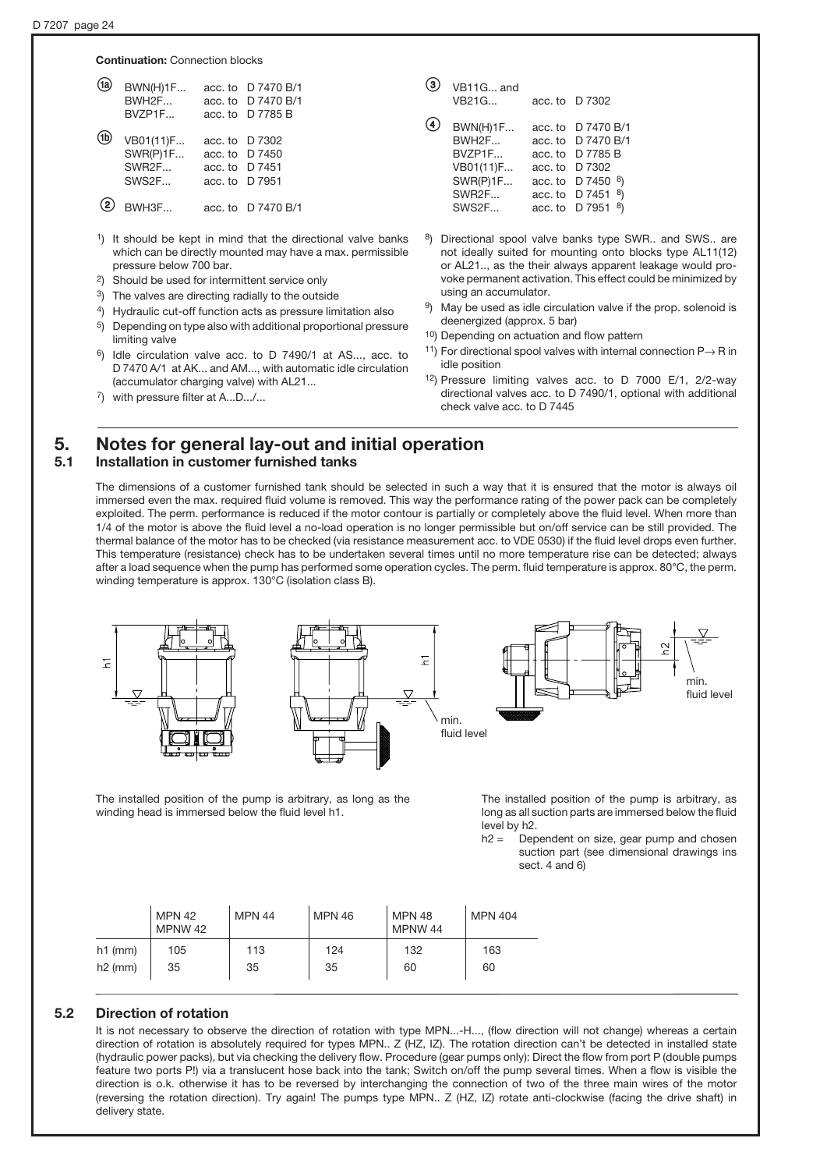**Continuation: Connection blocks** 

| <b>BWN(H)1F</b><br>BWH2F<br>BVZP1F      |                | acc. to D 7470 B/1<br>acc. to D 7470 B/1<br>acc. to D 7785 B    |
|-----------------------------------------|----------------|-----------------------------------------------------------------|
| VB01(11)F<br>SWR(P)1F<br>SWR2F<br>SWS2F | acc. to D 7951 | acc. to $\overline{D}$ 7302<br>acc. to D 7450<br>acc. to D 7451 |
| BWH3F                                   |                | acc. to D 7470 B/1                                              |

- <sup>1</sup>) It should be kept in mind that the directional valve banks which can be directly mounted may have a max. permissible pressure below 700 bar.
- 2) Should be used for intermittent service only
- 3) The valves are directing radially to the outside
- 4) Hydraulic cut-off function acts as pressure limitation also
- 5) Depending on type also with additional proportional pressure limiting valve
- 6) Idle circulation valve acc. to D 7490/1 at AS..., acc. to D 7470 A/1 at AK... and AM..., with automatic idle circulation (accumulator charging valve) with AL21...

| VB11G and<br>VB21G                                                            |                                          | acc. to $\Box$ 7302                                                                                              |
|-------------------------------------------------------------------------------|------------------------------------------|------------------------------------------------------------------------------------------------------------------|
| <b>BWN(H)1F</b><br>BWH2F<br>BVZP1F<br>VB01(11)F<br>SWR(P)1F<br>SWR2F<br>SWS2F | acc. to<br>acc, to<br>acc. to<br>acc. to | D 7470 B/1<br>acc. to D 7470 B/1<br>D 7785 B<br>D 7302<br>D 7450<br>8)<br>acc. to D 7451<br>8)<br>acc. to D 7951 |

- 8) Directional spool valve banks type SWR.. and SWS.. are not ideally suited for mounting onto blocks type AL11(12) or AL21.., as the their always apparent leakage would provoke permanent activation. This effect could be minimized by using an accumulator.
- 9) May be used as idle circulation valve if the prop. solenoid is deenergized (approx. 5 bar)
- <sup>10</sup>) Depending on actuation and flow pattern
- <sup>11</sup>) For directional spool valves with internal connection  $P \rightarrow R$  in idle position
- 12) Pressure limiting valves acc. to D 7000 E/1, 2/2-way directional valves acc. to D 7490/1, optional with additional check valve acc. to D 7445

# 5. Notes for general lay-out and initial operation 5.1 Installation in customer furnished tanks

The dimensions of a customer furnished tank should be selected in such a way that it is ensured that the motor is always oil immersed even the max. required fluid volume is removed. This way the performance rating of the power pack can be completely exploited. The perm. performance is reduced if the motor contour is partially or completely above the fluid level. When more than 1/4 of the motor is above the fluid level a no-load operation is no longer permissible but on/off service can be still provided. The thermal balance of the motor has to be checked (via resistance measurement acc. to VDE 0530) if the fluid level drops even further. This temperature (resistance) check has to be undertaken several times until no more temperature rise can be detected; always after a load sequence when the pump has performed some operation cycles. The perm. fluid temperature is approx. 80°C, the perm. winding temperature is approx. 130°C (isolation class B).



The installed position of the pump is arbitrary, as long as the winding head is immersed below the fluid level h1.

The installed position of the pump is arbitrary, as long as all suction parts are immersed below the fluid level by h2.

 $h2 =$  Dependent on size, gear pump and chosen suction part (see dimensional drawings ins sect. 4 and 6)

|           | <b>MPN 42</b><br>MPNW 42 | <b>MPN 44</b> | <b>MPN 46</b> | <b>MPN 48</b><br>MPNW 44 | <b>MPN 404</b> |
|-----------|--------------------------|---------------|---------------|--------------------------|----------------|
| $h1$ (mm) | 105                      | 113           | 124           | 132                      | 163            |
| $h2$ (mm) | 35                       | 35            | 35            | 60                       | 60             |

# 5.2 Direction of rotation

It is not necessary to observe the direction of rotation with type MPN...-H..., (flow direction will not change) whereas a certain direction of rotation is absolutely required for types MPN.. Z (HZ, IZ). The rotation direction can't be detected in installed state (hydraulic power packs), but via checking the delivery flow. Procedure (gear pumps only): Direct the flow from port P (double pumps feature two ports P!) via a translucent hose back into the tank; Switch on/off the pump several times. When a flow is visible the direction is o.k. otherwise it has to be reversed by interchanging the connection of two of the three main wires of the motor (reversing the rotation direction). Try again! The pumps type MPN.. Z (HZ, IZ) rotate anti-clockwise (facing the drive shaft) in delivery state.

<sup>7)</sup> with pressure filter at A...D.../...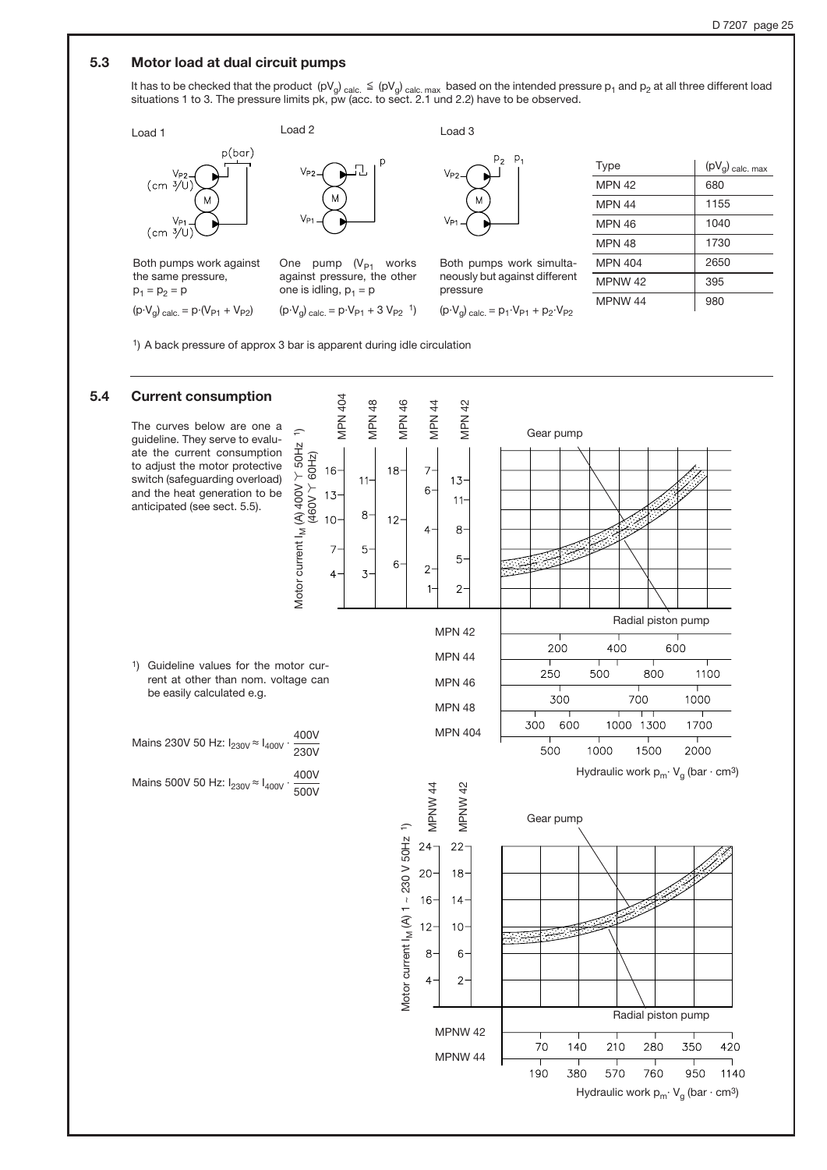### 5.3 Motor load at dual circuit pumps

It has to be checked that the product  $(pV_g)_{calc.} \leq (pV_g)_{calc. max}$  based on the intended pressure  $p_1$  and  $p_2$  at all three different load<br>situations 1 to 3. The pressure limits pk, pw (acc. to sect. 2.1 und 2.2) have to be



1) A back pressure of approx 3 bar is apparent during idle circulation

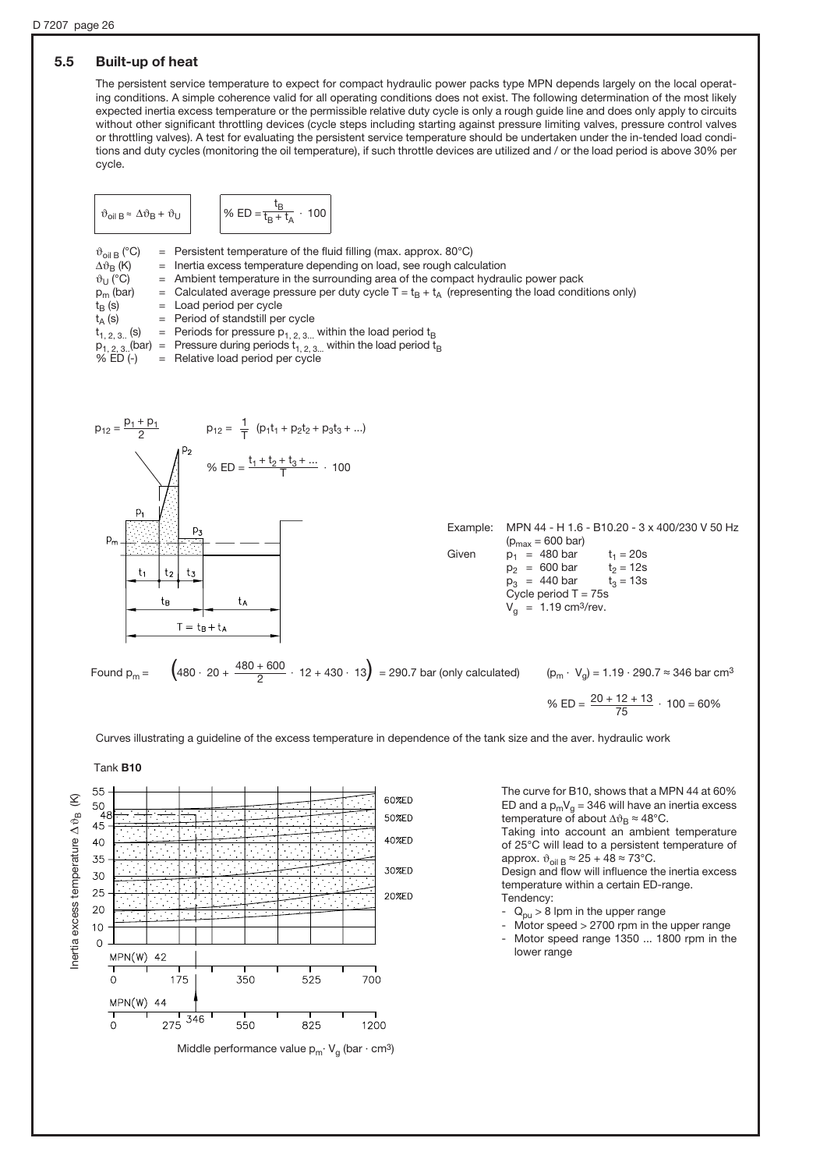# 5.5 Built-up of heat

The persistent service temperature to expect for compact hydraulic power packs type MPN depends largely on the local operating conditions. A simple coherence valid for all operating conditions does not exist. The following determination of the most likely expected inertia excess temperature or the permissible relative duty cycle is only a rough guide line and does only apply to circuits without other significant throttling devices (cycle steps including starting against pressure limiting valves, pressure control valves or throttling valves). A test for evaluating the persistent service temperature should be undertaken under the in-tended load conditions and duty cycles (monitoring the oil temperature), if such throttle devices are utilized and / or the load period is above 30% per cycle.

$$
\vartheta_{\text{oil }B} \approx \Delta \vartheta_B + \vartheta_U \qquad \qquad \left| \vartheta_0 \text{ ED} = \frac{t_B}{t_B + t_A} \cdot 100 \right|
$$

 $\vartheta_{\text{oil B}}$  (°C) = Persistent temperature of the fluid filling (max. approx. 80°C)<br>  $\Delta \vartheta_B$  (K) = Inertia excess temperature depending on load, see rough calc  $\Delta v_B$  (K) = Inertia excess temperature depending on load, see rough calculation  $v_U$  (°C) = Ambient temperature in the surrounding area of the compact hydra  $\vartheta_U$  (°C) = Ambient temperature in the surrounding area of the compact hydraulic power pack  $p_m$  (bar) = Calculated average pressure per duty cycle T = t<sub>B</sub> + t<sub>A</sub> (representing the load condi  $p_m$  (bar) = Calculated average pressure per duty cycle  $T = t_B + t_A$  (representing the load conditions only)  $t_B$  (s) = Load period per cycle  $=$  Load period per cycle  $t_A$  (s) = Period of standstill per cycle<br>  $t_{1, 2, 3..}$  (s) = Periods for pressure  $p_{1, 2, 3...}$ = Periods for pressure  $p_{1, 2, 3}$ ... within the load period  $t_B$  $p_{1, 2, 3}$ . (bar) = Pressure during periods  $t_{1, 2, 3}$  within the load period  $t_B$ <br>% ED (-) = Relative load period per cycle  $=$  Relative load period per cycle  $p_{12} = \frac{p_1 + p_1}{2}$  $p_{12} = \frac{1}{7} (p_1 t_1 + p_2 t_2 + p_3 t_3 + ...)$ T % ED =  $\frac{t_1 + t_2 + t_3 + \dots}{T}$  · 100  $p_1$ Example: MPN 44 - H 1.6 - B10.20 - 3 x 400/230 V 50 Hz  $(p<sub>max</sub> = 600 bar)$ Given  $p_1 = 480 \text{ bar}$   $t_1 = 20 \text{s}$ <br> $p_2 = 600 \text{ bar}$   $t_2 = 12 \text{s}$  $p_2$  = 600 bar  $t_2$  = 12s<br>  $p_3$  = 440 bar  $t_3$  = 13s  $t<sub>1</sub>$  $p_3 = 440 \text{ bar}$ Cycle period  $T = 75s$ tв ta  $V_{\alpha}$  = 1.19 cm<sup>3</sup>/rev.  $T = t_B + t_A$ Found p<sub>m</sub> =  $(480 \cdot 20 + \frac{480 + 600}{2} \cdot 12 + 430 \cdot 13)$  = 290.7 bar (only calculated)  $(p_m \cdot V_g)$  = 1.19 · 290.7  $\approx$  346 bar cm<sup>3</sup> 2 % ED =  $\frac{20 + 12 + 13}{75}$  · 100 = 60% 75

Curves illustrating a guideline of the excess temperature in dependence of the tank size and the aver. hydraulic work



The curve for B10, shows that a MPN 44 at 60% ED and a  $p_mV_g = 346$  will have an inertia excess temperature of about  $\Delta \vartheta_B \approx 48^{\circ}$ C.

Taking into account an ambient temperature of 25°C will lead to a persistent temperature of approx.  $\vartheta_{\text{oil B}} \approx 25 + 48 \approx 73^{\circ} \text{C}$ .

Design and flow will influence the inertia excess temperature within a certain ED-range.

Tendency:

- $Q_{\text{out}} > 8$  lpm in the upper range
- $M$ otor speed  $> 2700$  rpm in the upper range Motor speed range 1350 ... 1800 rpm in the lower range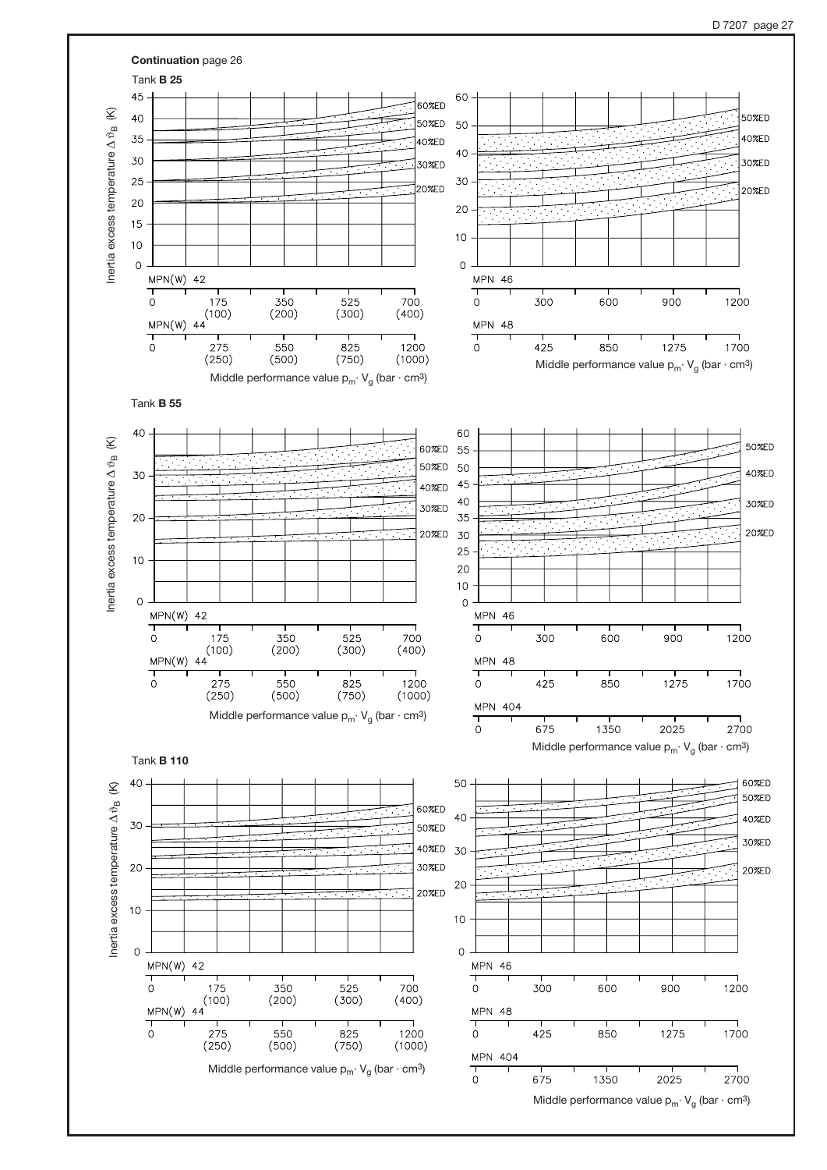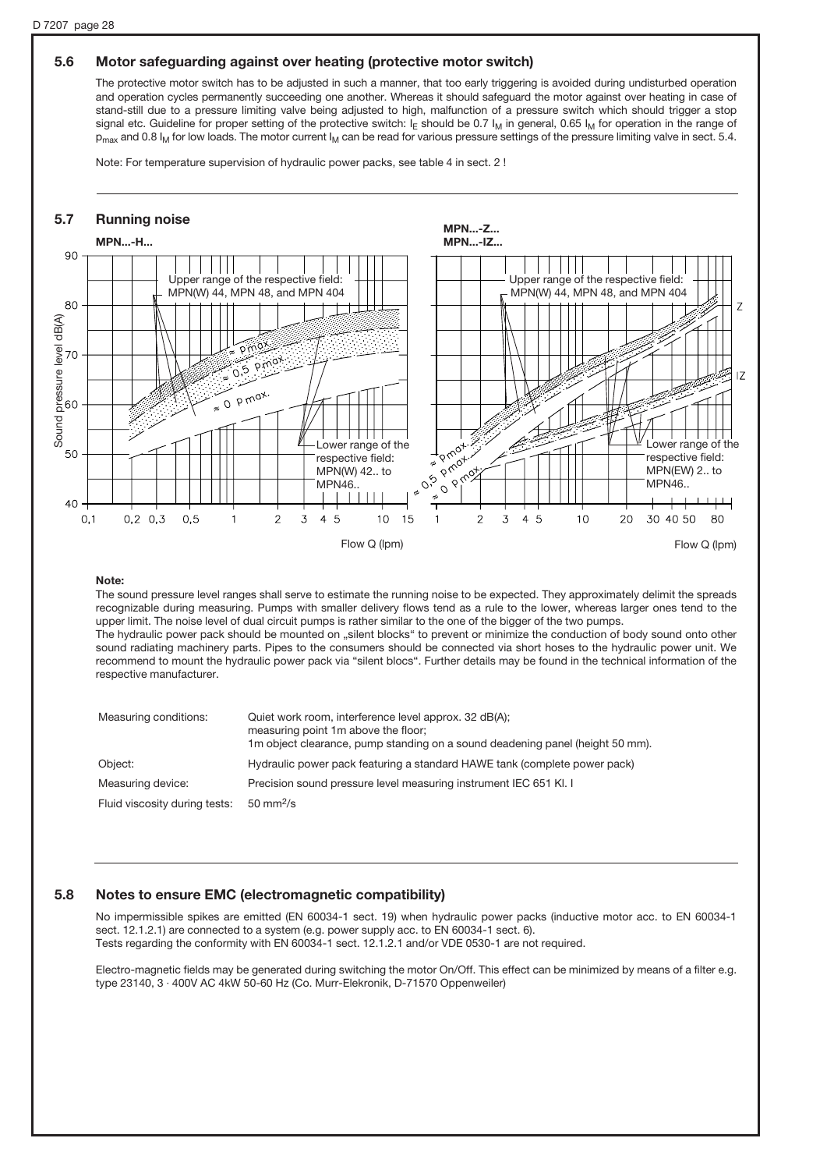### 5.6 Motor safeguarding against over heating (protective motor switch)

The protective motor switch has to be adjusted in such a manner, that too early triggering is avoided during undisturbed operation and operation cycles permanently succeeding one another. Whereas it should safeguard the motor against over heating in case of stand-still due to a pressure limiting valve being adjusted to high, malfunction of a pressure switch which should trigger a stop signal etc. Guideline for proper setting of the protective switch: I<sub>E</sub> should be 0.7 I<sub>M</sub> in general, 0.65 I<sub>M</sub> for operation in the range of  $p_{max}$  and 0.8 I<sub>M</sub> for low loads. The motor current I<sub>M</sub> can be read for various pressure settings of the pressure limiting valve in sect. 5.4.

Note: For temperature supervision of hydraulic power packs, see table 4 in sect. 2 !



#### Note:

The sound pressure level ranges shall serve to estimate the running noise to be expected. They approximately delimit the spreads recognizable during measuring. Pumps with smaller delivery flows tend as a rule to the lower, whereas larger ones tend to the upper limit. The noise level of dual circuit pumps is rather similar to the one of the bigger of the two pumps. The hydraulic power pack should be mounted on "silent blocks" to prevent or minimize the conduction of body sound onto other sound radiating machinery parts. Pipes to the consumers should be connected via short hoses to the hydraulic power unit. We recommend to mount the hydraulic power pack via "silent blocs". Further details may be found in the technical information of the respective manufacturer.

| Measuring conditions:         | Quiet work room, interference level approx. 32 dB(A);<br>measuring point 1m above the floor;<br>1m object clearance, pump standing on a sound deadening panel (height 50 mm). |
|-------------------------------|-------------------------------------------------------------------------------------------------------------------------------------------------------------------------------|
| Object:                       | Hydraulic power pack featuring a standard HAWE tank (complete power pack)                                                                                                     |
| Measuring device:             | Precision sound pressure level measuring instrument IEC 651 KI. I                                                                                                             |
| Fluid viscosity during tests: | $50 \text{ mm}^2/\text{s}$                                                                                                                                                    |

# 5.8 Notes to ensure EMC (electromagnetic compatibility)

No impermissible spikes are emitted (EN 60034-1 sect. 19) when hydraulic power packs (inductive motor acc. to EN 60034-1 sect. 12.1.2.1) are connected to a system (e.g. power supply acc. to EN 60034-1 sect. 6). Tests regarding the conformity with EN 60034-1 sect. 12.1.2.1 and/or VDE 0530-1 are not required.

Electro-magnetic fields may be generated during switching the motor On/Off. This effect can be minimized by means of a filter e.g. type 23140, 3 · 400V AC 4kW 50-60 Hz (Co. Murr-Elekronik, D-71570 Oppenweiler)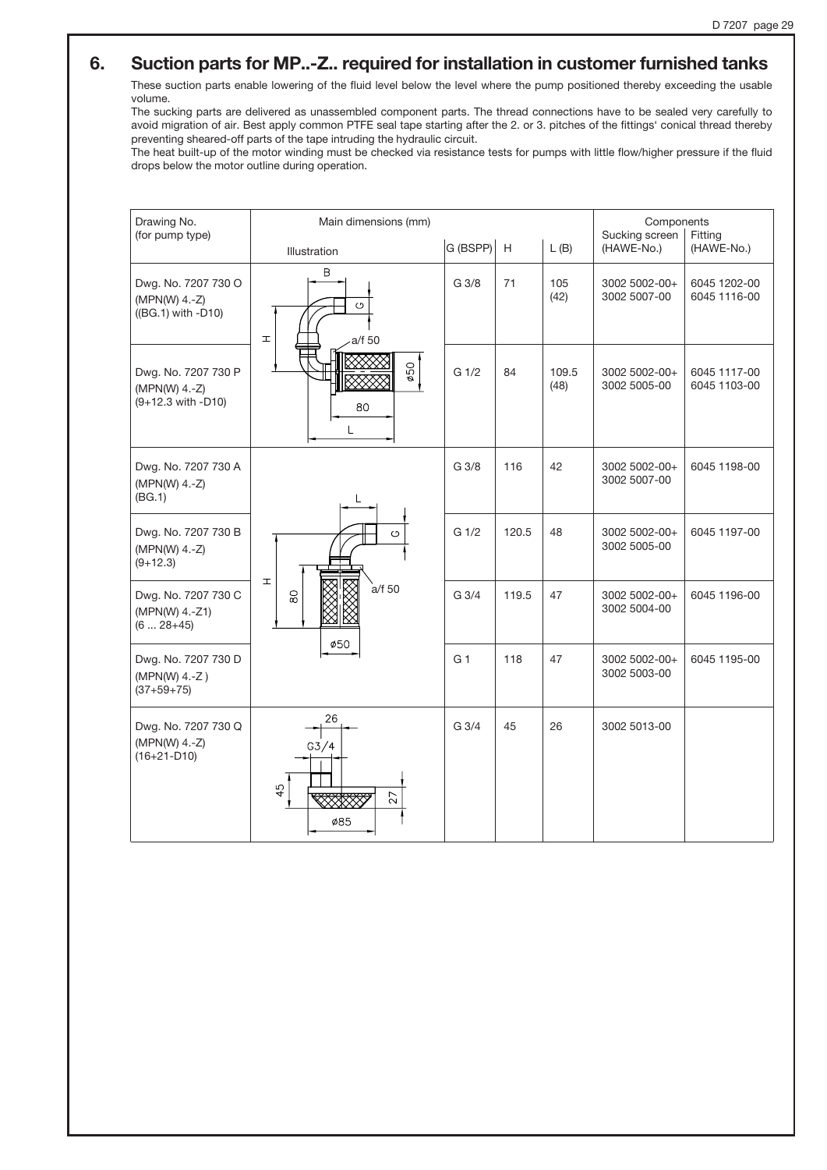# 6. Suction parts for MP..-Z.. required for installation in customer furnished tanks

These suction parts enable lowering of the fluid level below the level where the pump positioned thereby exceeding the usable volume.

The sucking parts are delivered as unassembled component parts. The thread connections have to be sealed very carefully to avoid migration of air. Best apply common PTFE seal tape starting after the 2. or 3. pitches of the fittings' conical thread thereby preventing sheared-off parts of the tape intruding the hydraulic circuit.

The heat built-up of the motor winding must be checked via resistance tests for pumps with little flow/higher pressure if the fluid drops below the motor outline during operation.

| Drawing No.<br>(for pump type)                               | Main dimensions (mm)                    | Components<br>Sucking screen<br>Fitting |             |               |                               |                              |
|--------------------------------------------------------------|-----------------------------------------|-----------------------------------------|-------------|---------------|-------------------------------|------------------------------|
|                                                              | Illustration                            | G (BSPP)                                | $\mathsf H$ | L(B)          | (HAWE-No.)                    | (HAWE-No.)                   |
| Dwg. No. 7207 730 O<br>(MPN(W) 4.-Z)<br>((BG.1) with -D10)   | B<br>$\circ$<br>$\mathbbm{1}$<br>a/f 50 | G 3/8                                   | 71          | 105<br>(42)   | 3002 5002-00+<br>3002 5007-00 | 6045 1202-00<br>6045 1116-00 |
| Dwg. No. 7207 730 P<br>$(MPN(W)$ 4.-Z)<br>(9+12.3 with -D10) | ø50<br>80                               | G <sub>1/2</sub>                        | 84          | 109.5<br>(48) | 3002 5002-00+<br>3002 5005-00 | 6045 1117-00<br>6045 1103-00 |
| Dwg. No. 7207 730 A<br>(MPN(W) 4.-Z)<br>(BG.1)               | L                                       | G <sub>3/8</sub>                        | 116         | 42            | 3002 5002-00+<br>3002 5007-00 | 6045 1198-00                 |
| Dwg. No. 7207 730 B<br>(MPN(W) 4.-Z)<br>$(9+12.3)$           | $\circ$<br>Ŧ.                           | G <sub>1/2</sub>                        | 120.5       | 48            | 3002 5002-00+<br>3002 5005-00 | 6045 1197-00                 |
| Dwg. No. 7207 730 C<br>(MPN(W) 4.-Z1)<br>$(628+45)$          | a/f 50<br>$\frac{8}{2}$<br>Ø50          | G <sub>3/4</sub>                        | 119.5       | 47            | 3002 5002-00+<br>3002 5004-00 | 6045 1196-00                 |
| Dwg. No. 7207 730 D<br>(MPN(W) 4.-Z)<br>$(37+59+75)$         |                                         | G <sub>1</sub>                          | 118         | 47            | 3002 5002-00+<br>3002 5003-00 | 6045 1195-00                 |
| Dwg. No. 7207 730 Q<br>(MPN(W) 4.-Z)<br>$(16+21-D10)$        | 26<br>G3/4<br>45<br>27<br>Ø85           | G 3/4                                   | 45          | 26            | 3002 5013-00                  |                              |